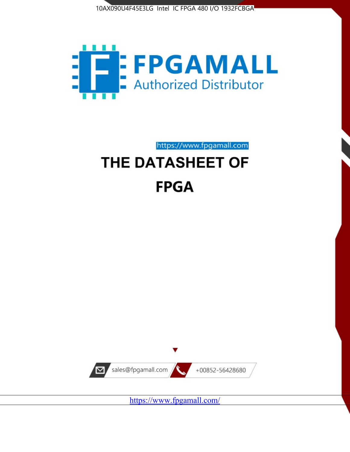



https://www.fpgamall.com

# THE DATASHEET OF **FPGA**



<https://www.fpgamall.com/>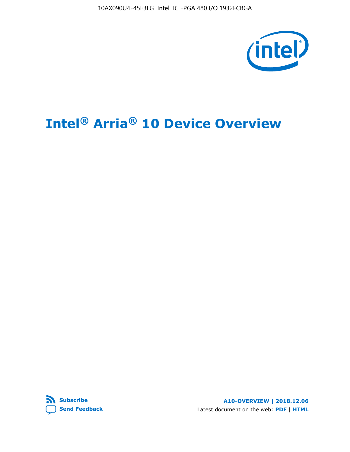10AX090U4F45E3LG Intel IC FPGA 480 I/O 1932FCBGA



# **Intel® Arria® 10 Device Overview**



**A10-OVERVIEW | 2018.12.06** Latest document on the web: **[PDF](https://www.intel.com/content/dam/www/programmable/us/en/pdfs/literature/hb/arria-10/a10_overview.pdf)** | **[HTML](https://www.intel.com/content/www/us/en/programmable/documentation/sam1403480274650.html)**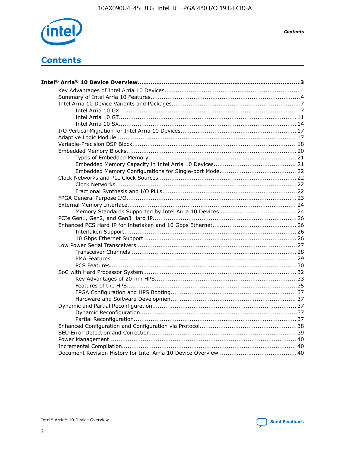

**Contents** 

# **Contents**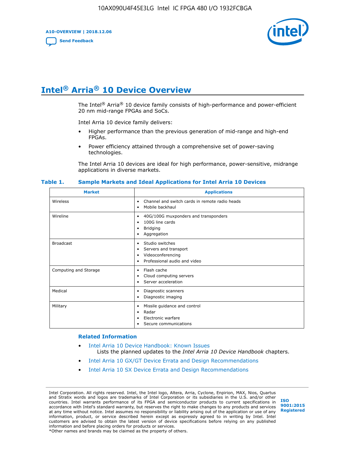**A10-OVERVIEW | 2018.12.06**

**[Send Feedback](mailto:FPGAtechdocfeedback@intel.com?subject=Feedback%20on%20Intel%20Arria%2010%20Device%20Overview%20(A10-OVERVIEW%202018.12.06)&body=We%20appreciate%20your%20feedback.%20In%20your%20comments,%20also%20specify%20the%20page%20number%20or%20paragraph.%20Thank%20you.)**



# **Intel® Arria® 10 Device Overview**

The Intel<sup>®</sup> Arria<sup>®</sup> 10 device family consists of high-performance and power-efficient 20 nm mid-range FPGAs and SoCs.

Intel Arria 10 device family delivers:

- Higher performance than the previous generation of mid-range and high-end FPGAs.
- Power efficiency attained through a comprehensive set of power-saving technologies.

The Intel Arria 10 devices are ideal for high performance, power-sensitive, midrange applications in diverse markets.

| <b>Market</b>         | <b>Applications</b>                                                                                               |
|-----------------------|-------------------------------------------------------------------------------------------------------------------|
| Wireless              | Channel and switch cards in remote radio heads<br>٠<br>Mobile backhaul<br>٠                                       |
| Wireline              | 40G/100G muxponders and transponders<br>٠<br>100G line cards<br>٠<br><b>Bridging</b><br>٠<br>Aggregation<br>٠     |
| <b>Broadcast</b>      | Studio switches<br>٠<br>Servers and transport<br>٠<br>Videoconferencing<br>٠<br>Professional audio and video<br>٠ |
| Computing and Storage | Flash cache<br>٠<br>Cloud computing servers<br>٠<br>Server acceleration<br>٠                                      |
| Medical               | Diagnostic scanners<br>٠<br>Diagnostic imaging<br>٠                                                               |
| Military              | Missile guidance and control<br>٠<br>Radar<br>٠<br>Electronic warfare<br>٠<br>Secure communications<br>٠          |

#### **Table 1. Sample Markets and Ideal Applications for Intel Arria 10 Devices**

#### **Related Information**

- [Intel Arria 10 Device Handbook: Known Issues](http://www.altera.com/support/kdb/solutions/rd07302013_646.html) Lists the planned updates to the *Intel Arria 10 Device Handbook* chapters.
- [Intel Arria 10 GX/GT Device Errata and Design Recommendations](https://www.intel.com/content/www/us/en/programmable/documentation/agz1493851706374.html#yqz1494433888646)
- [Intel Arria 10 SX Device Errata and Design Recommendations](https://www.intel.com/content/www/us/en/programmable/documentation/cru1462832385668.html#cru1462832558642)

Intel Corporation. All rights reserved. Intel, the Intel logo, Altera, Arria, Cyclone, Enpirion, MAX, Nios, Quartus and Stratix words and logos are trademarks of Intel Corporation or its subsidiaries in the U.S. and/or other countries. Intel warrants performance of its FPGA and semiconductor products to current specifications in accordance with Intel's standard warranty, but reserves the right to make changes to any products and services at any time without notice. Intel assumes no responsibility or liability arising out of the application or use of any information, product, or service described herein except as expressly agreed to in writing by Intel. Intel customers are advised to obtain the latest version of device specifications before relying on any published information and before placing orders for products or services. \*Other names and brands may be claimed as the property of others.

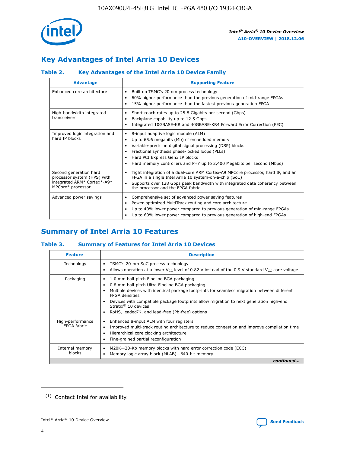

# **Key Advantages of Intel Arria 10 Devices**

# **Table 2. Key Advantages of the Intel Arria 10 Device Family**

| <b>Advantage</b>                                                                                          | <b>Supporting Feature</b>                                                                                                                                                                                                                                                                                                |
|-----------------------------------------------------------------------------------------------------------|--------------------------------------------------------------------------------------------------------------------------------------------------------------------------------------------------------------------------------------------------------------------------------------------------------------------------|
| Enhanced core architecture                                                                                | Built on TSMC's 20 nm process technology<br>٠<br>60% higher performance than the previous generation of mid-range FPGAs<br>٠<br>15% higher performance than the fastest previous-generation FPGA<br>٠                                                                                                                    |
| High-bandwidth integrated<br>transceivers                                                                 | Short-reach rates up to 25.8 Gigabits per second (Gbps)<br>٠<br>Backplane capability up to 12.5 Gbps<br>٠<br>Integrated 10GBASE-KR and 40GBASE-KR4 Forward Error Correction (FEC)<br>٠                                                                                                                                   |
| Improved logic integration and<br>hard IP blocks                                                          | 8-input adaptive logic module (ALM)<br>٠<br>Up to 65.6 megabits (Mb) of embedded memory<br>٠<br>Variable-precision digital signal processing (DSP) blocks<br>Fractional synthesis phase-locked loops (PLLs)<br>Hard PCI Express Gen3 IP blocks<br>Hard memory controllers and PHY up to 2,400 Megabits per second (Mbps) |
| Second generation hard<br>processor system (HPS) with<br>integrated ARM* Cortex*-A9*<br>MPCore* processor | Tight integration of a dual-core ARM Cortex-A9 MPCore processor, hard IP, and an<br>٠<br>FPGA in a single Intel Arria 10 system-on-a-chip (SoC)<br>Supports over 128 Gbps peak bandwidth with integrated data coherency between<br>$\bullet$<br>the processor and the FPGA fabric                                        |
| Advanced power savings                                                                                    | Comprehensive set of advanced power saving features<br>٠<br>Power-optimized MultiTrack routing and core architecture<br>٠<br>Up to 40% lower power compared to previous generation of mid-range FPGAs<br>Up to 60% lower power compared to previous generation of high-end FPGAs                                         |

# **Summary of Intel Arria 10 Features**

## **Table 3. Summary of Features for Intel Arria 10 Devices**

| <b>Feature</b>                  | <b>Description</b>                                                                                                                                                                                                                                                                                                                                                                                 |
|---------------------------------|----------------------------------------------------------------------------------------------------------------------------------------------------------------------------------------------------------------------------------------------------------------------------------------------------------------------------------------------------------------------------------------------------|
| Technology                      | TSMC's 20-nm SoC process technology<br>Allows operation at a lower $V_{\text{CC}}$ level of 0.82 V instead of the 0.9 V standard $V_{\text{CC}}$ core voltage                                                                                                                                                                                                                                      |
| Packaging                       | 1.0 mm ball-pitch Fineline BGA packaging<br>٠<br>0.8 mm ball-pitch Ultra Fineline BGA packaging<br>Multiple devices with identical package footprints for seamless migration between different<br><b>FPGA</b> densities<br>Devices with compatible package footprints allow migration to next generation high-end<br>Stratix $@10$ devices<br>RoHS, leaded $(1)$ , and lead-free (Pb-free) options |
| High-performance<br>FPGA fabric | Enhanced 8-input ALM with four registers<br>Improved multi-track routing architecture to reduce congestion and improve compilation time<br>Hierarchical core clocking architecture<br>Fine-grained partial reconfiguration                                                                                                                                                                         |
| Internal memory<br>blocks       | M20K-20-Kb memory blocks with hard error correction code (ECC)<br>Memory logic array block (MLAB)-640-bit memory                                                                                                                                                                                                                                                                                   |
|                                 | continued                                                                                                                                                                                                                                                                                                                                                                                          |



<sup>(1)</sup> Contact Intel for availability.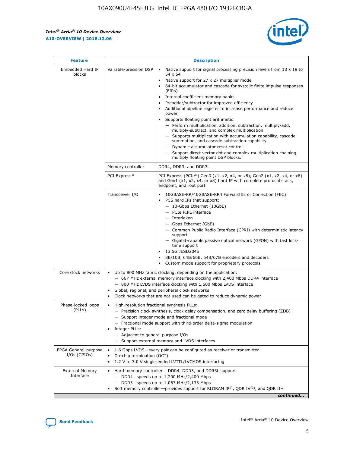$\mathsf{r}$ 



| <b>Feature</b>                         | <b>Description</b>                                                                                             |                                                                                                                                                                                                                                                                                                                                                                                                                                                                                                                                                                                                                                                                                                                                                                                                                                        |  |  |  |  |  |
|----------------------------------------|----------------------------------------------------------------------------------------------------------------|----------------------------------------------------------------------------------------------------------------------------------------------------------------------------------------------------------------------------------------------------------------------------------------------------------------------------------------------------------------------------------------------------------------------------------------------------------------------------------------------------------------------------------------------------------------------------------------------------------------------------------------------------------------------------------------------------------------------------------------------------------------------------------------------------------------------------------------|--|--|--|--|--|
| Embedded Hard IP<br>blocks             | Variable-precision DSP                                                                                         | Native support for signal processing precision levels from $18 \times 19$ to<br>54 x 54<br>Native support for 27 x 27 multiplier mode<br>64-bit accumulator and cascade for systolic finite impulse responses<br>(FIRs)<br>Internal coefficient memory banks<br>$\bullet$<br>Preadder/subtractor for improved efficiency<br>Additional pipeline register to increase performance and reduce<br>power<br>Supports floating point arithmetic:<br>- Perform multiplication, addition, subtraction, multiply-add,<br>multiply-subtract, and complex multiplication.<br>- Supports multiplication with accumulation capability, cascade<br>summation, and cascade subtraction capability.<br>- Dynamic accumulator reset control.<br>- Support direct vector dot and complex multiplication chaining<br>multiply floating point DSP blocks. |  |  |  |  |  |
|                                        | Memory controller                                                                                              | DDR4, DDR3, and DDR3L                                                                                                                                                                                                                                                                                                                                                                                                                                                                                                                                                                                                                                                                                                                                                                                                                  |  |  |  |  |  |
|                                        | PCI Express*                                                                                                   | PCI Express (PCIe*) Gen3 (x1, x2, x4, or x8), Gen2 (x1, x2, x4, or x8)<br>and Gen1 (x1, x2, x4, or x8) hard IP with complete protocol stack,<br>endpoint, and root port                                                                                                                                                                                                                                                                                                                                                                                                                                                                                                                                                                                                                                                                |  |  |  |  |  |
|                                        | Transceiver I/O                                                                                                | 10GBASE-KR/40GBASE-KR4 Forward Error Correction (FEC)<br>PCS hard IPs that support:<br>$\bullet$<br>- 10-Gbps Ethernet (10GbE)<br>- PCIe PIPE interface<br>$-$ Interlaken<br>- Gbps Ethernet (GbE)<br>- Common Public Radio Interface (CPRI) with deterministic latency<br>support<br>- Gigabit-capable passive optical network (GPON) with fast lock-<br>time support<br>13.5G JESD204b<br>$\bullet$<br>8B/10B, 64B/66B, 64B/67B encoders and decoders<br>Custom mode support for proprietary protocols                                                                                                                                                                                                                                                                                                                               |  |  |  |  |  |
| Core clock networks                    | $\bullet$<br>$\bullet$                                                                                         | Up to 800 MHz fabric clocking, depending on the application:<br>- 667 MHz external memory interface clocking with 2,400 Mbps DDR4 interface<br>- 800 MHz LVDS interface clocking with 1,600 Mbps LVDS interface<br>Global, regional, and peripheral clock networks<br>Clock networks that are not used can be gated to reduce dynamic power                                                                                                                                                                                                                                                                                                                                                                                                                                                                                            |  |  |  |  |  |
| Phase-locked loops<br>(PLLs)           | High-resolution fractional synthesis PLLs:<br>$\bullet$<br>Integer PLLs:<br>- Adjacent to general purpose I/Os | - Precision clock synthesis, clock delay compensation, and zero delay buffering (ZDB)<br>- Support integer mode and fractional mode<br>- Fractional mode support with third-order delta-sigma modulation<br>- Support external memory and LVDS interfaces                                                                                                                                                                                                                                                                                                                                                                                                                                                                                                                                                                              |  |  |  |  |  |
| FPGA General-purpose<br>$I/Os$ (GPIOs) | On-chip termination (OCT)                                                                                      | 1.6 Gbps LVDS-every pair can be configured as receiver or transmitter<br>1.2 V to 3.0 V single-ended LVTTL/LVCMOS interfacing                                                                                                                                                                                                                                                                                                                                                                                                                                                                                                                                                                                                                                                                                                          |  |  |  |  |  |
| <b>External Memory</b><br>Interface    |                                                                                                                | Hard memory controller- DDR4, DDR3, and DDR3L support<br>$-$ DDR4 $-$ speeds up to 1,200 MHz/2,400 Mbps<br>- DDR3-speeds up to 1,067 MHz/2,133 Mbps<br>Soft memory controller—provides support for RLDRAM $3^{(2)}$ , QDR IV $^{(2)}$ , and QDR II+<br>continued                                                                                                                                                                                                                                                                                                                                                                                                                                                                                                                                                                       |  |  |  |  |  |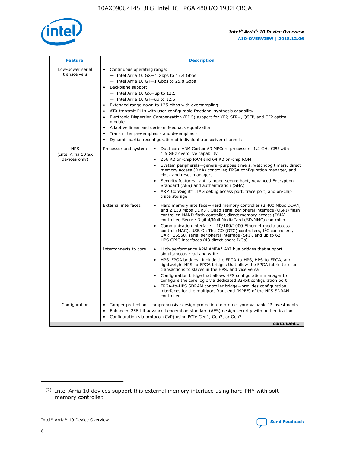

| <b>Feature</b>                                    | <b>Description</b>                                                                                                                                                                                                                                                                                                                                                                                                                                                                                                                                                                                                                         |
|---------------------------------------------------|--------------------------------------------------------------------------------------------------------------------------------------------------------------------------------------------------------------------------------------------------------------------------------------------------------------------------------------------------------------------------------------------------------------------------------------------------------------------------------------------------------------------------------------------------------------------------------------------------------------------------------------------|
| Low-power serial<br>transceivers                  | • Continuous operating range:<br>- Intel Arria 10 GX-1 Gbps to 17.4 Gbps<br>- Intel Arria 10 GT-1 Gbps to 25.8 Gbps<br>Backplane support:<br>$-$ Intel Arria 10 GX-up to 12.5<br>- Intel Arria 10 GT-up to 12.5<br>Extended range down to 125 Mbps with oversampling<br>ATX transmit PLLs with user-configurable fractional synthesis capability<br>Electronic Dispersion Compensation (EDC) support for XFP, SFP+, QSFP, and CFP optical<br>module<br>• Adaptive linear and decision feedback equalization<br>Transmitter pre-emphasis and de-emphasis<br>$\bullet$<br>Dynamic partial reconfiguration of individual transceiver channels |
| <b>HPS</b><br>(Intel Arria 10 SX<br>devices only) | Dual-core ARM Cortex-A9 MPCore processor-1.2 GHz CPU with<br>Processor and system<br>$\bullet$<br>1.5 GHz overdrive capability<br>256 KB on-chip RAM and 64 KB on-chip ROM<br>System peripherals-general-purpose timers, watchdog timers, direct<br>memory access (DMA) controller, FPGA configuration manager, and<br>clock and reset managers<br>Security features-anti-tamper, secure boot, Advanced Encryption<br>$\bullet$<br>Standard (AES) and authentication (SHA)<br>ARM CoreSight* JTAG debug access port, trace port, and on-chip<br>trace storage                                                                              |
|                                                   | <b>External interfaces</b><br>Hard memory interface-Hard memory controller (2,400 Mbps DDR4,<br>$\bullet$<br>and 2,133 Mbps DDR3), Quad serial peripheral interface (QSPI) flash<br>controller, NAND flash controller, direct memory access (DMA)<br>controller, Secure Digital/MultiMediaCard (SD/MMC) controller<br>Communication interface-10/100/1000 Ethernet media access<br>$\bullet$<br>control (MAC), USB On-The-GO (OTG) controllers, I <sup>2</sup> C controllers,<br>UART 16550, serial peripheral interface (SPI), and up to 62<br>HPS GPIO interfaces (48 direct-share I/Os)                                                 |
|                                                   | High-performance ARM AMBA* AXI bus bridges that support<br>Interconnects to core<br>$\bullet$<br>simultaneous read and write<br>HPS-FPGA bridges-include the FPGA-to-HPS, HPS-to-FPGA, and<br>$\bullet$<br>lightweight HPS-to-FPGA bridges that allow the FPGA fabric to issue<br>transactions to slaves in the HPS, and vice versa<br>Configuration bridge that allows HPS configuration manager to<br>configure the core logic via dedicated 32-bit configuration port<br>FPGA-to-HPS SDRAM controller bridge-provides configuration<br>interfaces for the multiport front end (MPFE) of the HPS SDRAM<br>controller                     |
| Configuration                                     | Tamper protection—comprehensive design protection to protect your valuable IP investments<br>Enhanced 256-bit advanced encryption standard (AES) design security with authentication<br>٠<br>Configuration via protocol (CvP) using PCIe Gen1, Gen2, or Gen3<br>continued                                                                                                                                                                                                                                                                                                                                                                  |

<sup>(2)</sup> Intel Arria 10 devices support this external memory interface using hard PHY with soft memory controller.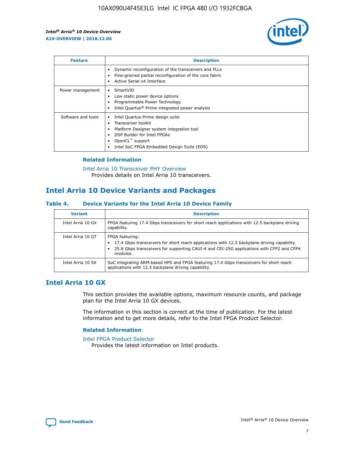

| <b>Feature</b>     | <b>Description</b>                                                                                                                                                                                               |
|--------------------|------------------------------------------------------------------------------------------------------------------------------------------------------------------------------------------------------------------|
|                    | Dynamic reconfiguration of the transceivers and PLLs<br>Fine-grained partial reconfiguration of the core fabric<br>Active Serial x4 Interface<br>$\bullet$                                                       |
| Power management   | SmartVID<br>Low static power device options<br>Programmable Power Technology<br>Intel Quartus <sup>®</sup> Prime integrated power analysis                                                                       |
| Software and tools | Intel Quartus Prime design suite<br>Transceiver toolkit<br>Platform Designer system integration tool<br>DSP Builder for Intel FPGAs<br>OpenCL <sup>™</sup> support<br>Intel SoC FPGA Embedded Design Suite (EDS) |

## **Related Information**

[Intel Arria 10 Transceiver PHY Overview](https://www.intel.com/content/www/us/en/programmable/documentation/nik1398707230472.html#nik1398706768037) Provides details on Intel Arria 10 transceivers.

# **Intel Arria 10 Device Variants and Packages**

#### **Table 4. Device Variants for the Intel Arria 10 Device Family**

| <b>Variant</b>    | <b>Description</b>                                                                                                                                                                                                     |
|-------------------|------------------------------------------------------------------------------------------------------------------------------------------------------------------------------------------------------------------------|
| Intel Arria 10 GX | FPGA featuring 17.4 Gbps transceivers for short reach applications with 12.5 backplane driving<br>capability.                                                                                                          |
| Intel Arria 10 GT | FPGA featuring:<br>17.4 Gbps transceivers for short reach applications with 12.5 backplane driving capability.<br>25.8 Gbps transceivers for supporting CAUI-4 and CEI-25G applications with CFP2 and CFP4<br>modules. |
| Intel Arria 10 SX | SoC integrating ARM-based HPS and FPGA featuring 17.4 Gbps transceivers for short reach<br>applications with 12.5 backplane driving capability.                                                                        |

# **Intel Arria 10 GX**

This section provides the available options, maximum resource counts, and package plan for the Intel Arria 10 GX devices.

The information in this section is correct at the time of publication. For the latest information and to get more details, refer to the Intel FPGA Product Selector.

#### **Related Information**

#### [Intel FPGA Product Selector](http://www.altera.com/products/selector/psg-selector.html) Provides the latest information on Intel products.

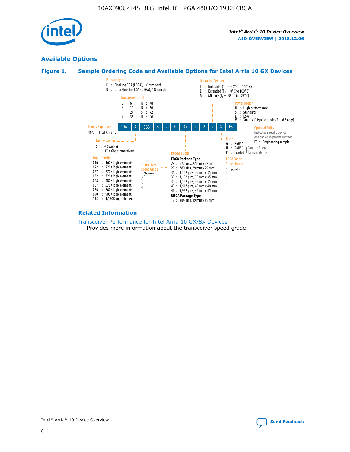

# **Available Options**





#### **Related Information**

[Transceiver Performance for Intel Arria 10 GX/SX Devices](https://www.intel.com/content/www/us/en/programmable/documentation/mcn1413182292568.html#mcn1413213965502) Provides more information about the transceiver speed grade.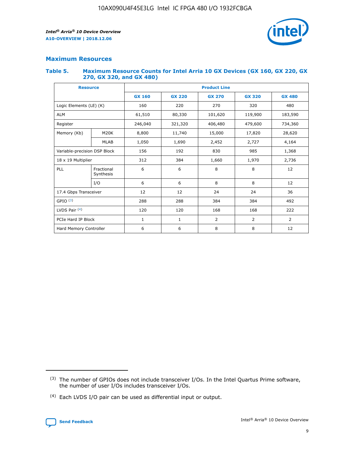

## **Maximum Resources**

#### **Table 5. Maximum Resource Counts for Intel Arria 10 GX Devices (GX 160, GX 220, GX 270, GX 320, and GX 480)**

| <b>Resource</b>         |                                                          | <b>Product Line</b> |                                                 |         |                |                |  |  |  |
|-------------------------|----------------------------------------------------------|---------------------|-------------------------------------------------|---------|----------------|----------------|--|--|--|
|                         |                                                          | <b>GX 160</b>       | <b>GX 220</b><br><b>GX 270</b><br><b>GX 320</b> |         |                | <b>GX 480</b>  |  |  |  |
| Logic Elements (LE) (K) |                                                          | 160                 | 220                                             | 270     | 320            | 480            |  |  |  |
| <b>ALM</b>              |                                                          | 61,510              | 80,330                                          | 101,620 | 119,900        | 183,590        |  |  |  |
| Register                |                                                          | 246,040             | 321,320                                         | 406,480 | 479,600        | 734,360        |  |  |  |
| Memory (Kb)             | M <sub>20</sub> K                                        | 8,800               | 11,740                                          | 15,000  | 17,820         | 28,620         |  |  |  |
| <b>MLAB</b>             |                                                          | 1,050               | 1,690                                           | 2,452   | 2,727          | 4,164          |  |  |  |
|                         | Variable-precision DSP Block<br>156<br>192<br>830<br>985 |                     |                                                 |         | 1,368          |                |  |  |  |
| 18 x 19 Multiplier      |                                                          | 312                 | 384                                             | 1,660   | 1,970          | 2,736          |  |  |  |
| PLL                     | Fractional<br>Synthesis                                  | 6                   | 6                                               | 8       | 8              | 12             |  |  |  |
|                         | I/O                                                      | 6                   | 6                                               | 8       | 8              | 12             |  |  |  |
| 17.4 Gbps Transceiver   |                                                          | 12                  | 12                                              | 24      | 24             | 36             |  |  |  |
| GPIO <sup>(3)</sup>     |                                                          | 288                 | 288                                             | 384     | 384            | 492            |  |  |  |
| LVDS Pair $(4)$         |                                                          | 120                 | 120                                             | 168     | 168            | 222            |  |  |  |
| PCIe Hard IP Block      |                                                          | 1                   | 1                                               | 2       | $\overline{2}$ | $\overline{2}$ |  |  |  |
| Hard Memory Controller  |                                                          | 6                   | 6                                               | 8       | 8              | 12             |  |  |  |

<sup>(4)</sup> Each LVDS I/O pair can be used as differential input or output.



<sup>(3)</sup> The number of GPIOs does not include transceiver I/Os. In the Intel Quartus Prime software, the number of user I/Os includes transceiver I/Os.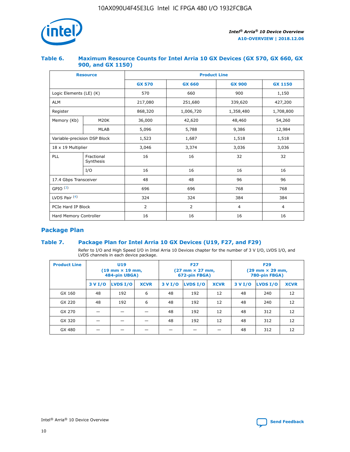

## **Table 6. Maximum Resource Counts for Intel Arria 10 GX Devices (GX 570, GX 660, GX 900, and GX 1150)**

|                              | <b>Resource</b>         | <b>Product Line</b> |                |                  |                |  |  |  |
|------------------------------|-------------------------|---------------------|----------------|------------------|----------------|--|--|--|
|                              |                         | <b>GX 570</b>       | <b>GX 660</b>  | <b>GX 900</b>    | <b>GX 1150</b> |  |  |  |
| Logic Elements (LE) (K)      |                         | 570                 | 660            | 900              | 1,150          |  |  |  |
| <b>ALM</b>                   |                         | 217,080             | 251,680        | 339,620          | 427,200        |  |  |  |
| Register                     |                         | 868,320             | 1,006,720      | 1,358,480        | 1,708,800      |  |  |  |
| Memory (Kb)                  | <b>M20K</b>             | 36,000              | 42,620         | 48,460<br>54,260 |                |  |  |  |
|                              | <b>MLAB</b>             | 5,096               | 5,788          |                  | 12,984         |  |  |  |
| Variable-precision DSP Block |                         | 1,523               | 1,687          | 1,518            | 1,518          |  |  |  |
|                              | 18 x 19 Multiplier      |                     | 3,374          | 3,036            | 3,036          |  |  |  |
| PLL                          | Fractional<br>Synthesis | 16                  | 16             | 32               | 32             |  |  |  |
|                              | I/O                     | 16                  | 16             | 16               | 16             |  |  |  |
| 17.4 Gbps Transceiver        |                         | 48                  | 48             | 96               | 96             |  |  |  |
| GPIO <sup>(3)</sup>          |                         | 696                 | 696            | 768              | 768            |  |  |  |
| LVDS Pair $(4)$              |                         | 324                 | 324            | 384              | 384            |  |  |  |
| PCIe Hard IP Block           |                         | 2                   | $\overline{2}$ | $\overline{4}$   | $\overline{4}$ |  |  |  |
| Hard Memory Controller       |                         | 16                  | 16             | 16               | 16             |  |  |  |

# **Package Plan**

# **Table 7. Package Plan for Intel Arria 10 GX Devices (U19, F27, and F29)**

Refer to I/O and High Speed I/O in Intel Arria 10 Devices chapter for the number of 3 V I/O, LVDS I/O, and LVDS channels in each device package.

| <b>Product Line</b> | U <sub>19</sub><br>$(19 \text{ mm} \times 19 \text{ mm})$<br>484-pin UBGA) |          |             |         | <b>F27</b><br>(27 mm × 27 mm,<br>672-pin FBGA) |             | <b>F29</b><br>(29 mm × 29 mm,<br>780-pin FBGA) |          |             |  |
|---------------------|----------------------------------------------------------------------------|----------|-------------|---------|------------------------------------------------|-------------|------------------------------------------------|----------|-------------|--|
|                     | 3 V I/O                                                                    | LVDS I/O | <b>XCVR</b> | 3 V I/O | <b>LVDS I/O</b>                                | <b>XCVR</b> | 3 V I/O                                        | LVDS I/O | <b>XCVR</b> |  |
| GX 160              | 48                                                                         | 192      | 6           | 48      | 192                                            | 12          | 48                                             | 240      | 12          |  |
| GX 220              | 48                                                                         | 192      | 6           | 48      | 192                                            | 12          | 48                                             | 240      | 12          |  |
| GX 270              |                                                                            |          |             | 48      | 192                                            | 12          | 48                                             | 312      | 12          |  |
| GX 320              |                                                                            |          |             | 48      | 192                                            | 12          | 48                                             | 312      | 12          |  |
| GX 480              |                                                                            |          |             |         |                                                |             | 48                                             | 312      | 12          |  |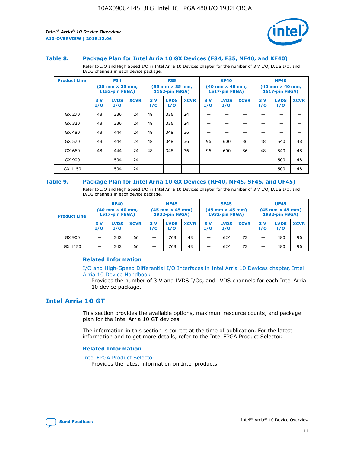

#### **Table 8. Package Plan for Intel Arria 10 GX Devices (F34, F35, NF40, and KF40)**

Refer to I/O and High Speed I/O in Intel Arria 10 Devices chapter for the number of 3 V I/O, LVDS I/O, and LVDS channels in each device package.

| <b>Product Line</b> | <b>F34</b><br>$(35 \text{ mm} \times 35 \text{ mm})$<br>1152-pin FBGA) |                    | <b>F35</b><br>$(35 \text{ mm} \times 35 \text{ mm})$<br><b>1152-pin FBGA)</b> |           | <b>KF40</b><br>$(40$ mm $\times$ 40 mm,<br>1517-pin FBGA) |             |           | <b>NF40</b><br>$(40$ mm $\times$ 40 mm,<br><b>1517-pin FBGA)</b> |             |            |                    |             |
|---------------------|------------------------------------------------------------------------|--------------------|-------------------------------------------------------------------------------|-----------|-----------------------------------------------------------|-------------|-----------|------------------------------------------------------------------|-------------|------------|--------------------|-------------|
|                     | 3V<br>I/O                                                              | <b>LVDS</b><br>I/O | <b>XCVR</b>                                                                   | 3V<br>I/O | <b>LVDS</b><br>I/O                                        | <b>XCVR</b> | 3V<br>I/O | <b>LVDS</b><br>I/O                                               | <b>XCVR</b> | 3 V<br>I/O | <b>LVDS</b><br>I/O | <b>XCVR</b> |
| GX 270              | 48                                                                     | 336                | 24                                                                            | 48        | 336                                                       | 24          |           |                                                                  |             |            |                    |             |
| GX 320              | 48                                                                     | 336                | 24                                                                            | 48        | 336                                                       | 24          |           |                                                                  |             |            |                    |             |
| GX 480              | 48                                                                     | 444                | 24                                                                            | 48        | 348                                                       | 36          |           |                                                                  |             |            |                    |             |
| GX 570              | 48                                                                     | 444                | 24                                                                            | 48        | 348                                                       | 36          | 96        | 600                                                              | 36          | 48         | 540                | 48          |
| GX 660              | 48                                                                     | 444                | 24                                                                            | 48        | 348                                                       | 36          | 96        | 600                                                              | 36          | 48         | 540                | 48          |
| GX 900              |                                                                        | 504                | 24                                                                            | -         |                                                           |             |           |                                                                  |             |            | 600                | 48          |
| GX 1150             |                                                                        | 504                | 24                                                                            |           |                                                           |             |           |                                                                  |             |            | 600                | 48          |

#### **Table 9. Package Plan for Intel Arria 10 GX Devices (RF40, NF45, SF45, and UF45)**

Refer to I/O and High Speed I/O in Intel Arria 10 Devices chapter for the number of 3 V I/O, LVDS I/O, and LVDS channels in each device package.

| <b>Product Line</b> | <b>RF40</b><br>$(40$ mm $\times$ 40 mm,<br>1517-pin FBGA) |                    | <b>NF45</b><br>$(45 \text{ mm} \times 45 \text{ mm})$<br><b>1932-pin FBGA)</b> |            |                    | <b>SF45</b><br>$(45 \text{ mm} \times 45 \text{ mm})$<br><b>1932-pin FBGA)</b> |            |                    | <b>UF45</b><br>$(45 \text{ mm} \times 45 \text{ mm})$<br><b>1932-pin FBGA)</b> |           |                    |             |
|---------------------|-----------------------------------------------------------|--------------------|--------------------------------------------------------------------------------|------------|--------------------|--------------------------------------------------------------------------------|------------|--------------------|--------------------------------------------------------------------------------|-----------|--------------------|-------------|
|                     | 3V<br>I/O                                                 | <b>LVDS</b><br>I/O | <b>XCVR</b>                                                                    | 3 V<br>I/O | <b>LVDS</b><br>I/O | <b>XCVR</b>                                                                    | 3 V<br>I/O | <b>LVDS</b><br>I/O | <b>XCVR</b>                                                                    | 3V<br>I/O | <b>LVDS</b><br>I/O | <b>XCVR</b> |
| GX 900              |                                                           | 342                | 66                                                                             | _          | 768                | 48                                                                             |            | 624                | 72                                                                             |           | 480                | 96          |
| GX 1150             |                                                           | 342                | 66                                                                             | _          | 768                | 48                                                                             |            | 624                | 72                                                                             |           | 480                | 96          |

#### **Related Information**

[I/O and High-Speed Differential I/O Interfaces in Intel Arria 10 Devices chapter, Intel](https://www.intel.com/content/www/us/en/programmable/documentation/sam1403482614086.html#sam1403482030321) [Arria 10 Device Handbook](https://www.intel.com/content/www/us/en/programmable/documentation/sam1403482614086.html#sam1403482030321)

Provides the number of 3 V and LVDS I/Os, and LVDS channels for each Intel Arria 10 device package.

# **Intel Arria 10 GT**

This section provides the available options, maximum resource counts, and package plan for the Intel Arria 10 GT devices.

The information in this section is correct at the time of publication. For the latest information and to get more details, refer to the Intel FPGA Product Selector.

#### **Related Information**

#### [Intel FPGA Product Selector](http://www.altera.com/products/selector/psg-selector.html)

Provides the latest information on Intel products.

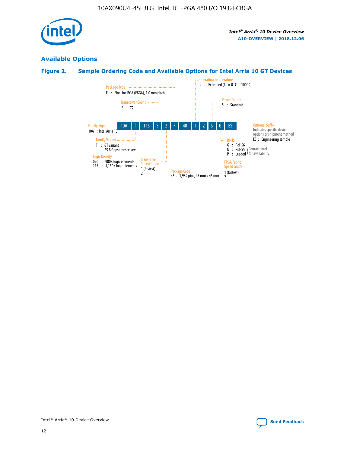

# **Available Options**

# **Figure 2. Sample Ordering Code and Available Options for Intel Arria 10 GT Devices**

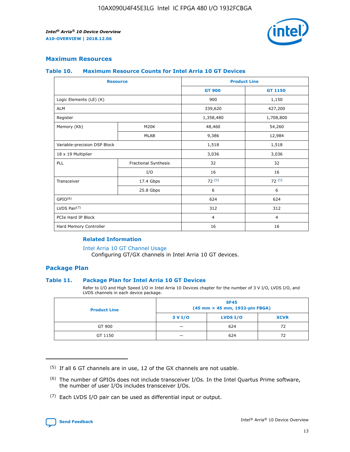

## **Maximum Resources**

#### **Table 10. Maximum Resource Counts for Intel Arria 10 GT Devices**

| <b>Resource</b>              |                      |                | <b>Product Line</b> |  |
|------------------------------|----------------------|----------------|---------------------|--|
|                              |                      | <b>GT 900</b>  | <b>GT 1150</b>      |  |
| Logic Elements (LE) (K)      |                      | 900            | 1,150               |  |
| <b>ALM</b>                   |                      | 339,620        | 427,200             |  |
| Register                     |                      | 1,358,480      | 1,708,800           |  |
| Memory (Kb)                  | M <sub>20</sub> K    | 48,460         | 54,260              |  |
|                              | <b>MLAB</b>          | 9,386          | 12,984              |  |
| Variable-precision DSP Block |                      | 1,518          | 1,518               |  |
| 18 x 19 Multiplier           |                      | 3,036          | 3,036               |  |
| PLL                          | Fractional Synthesis | 32             | 32                  |  |
|                              | I/O                  | 16             | 16                  |  |
| Transceiver                  | 17.4 Gbps            | 72(5)          | 72(5)               |  |
|                              | 25.8 Gbps            | 6              | 6                   |  |
| GPIO <sup>(6)</sup>          |                      | 624            | 624                 |  |
| LVDS Pair $(7)$              |                      | 312            | 312                 |  |
| PCIe Hard IP Block           |                      | $\overline{4}$ | $\overline{4}$      |  |
| Hard Memory Controller       |                      | 16             | 16                  |  |

#### **Related Information**

#### [Intel Arria 10 GT Channel Usage](https://www.intel.com/content/www/us/en/programmable/documentation/nik1398707230472.html#nik1398707008178)

Configuring GT/GX channels in Intel Arria 10 GT devices.

## **Package Plan**

#### **Table 11. Package Plan for Intel Arria 10 GT Devices**

Refer to I/O and High Speed I/O in Intel Arria 10 Devices chapter for the number of 3 V I/O, LVDS I/O, and LVDS channels in each device package.

| <b>Product Line</b> | <b>SF45</b><br>(45 mm × 45 mm, 1932-pin FBGA) |                 |             |  |  |  |
|---------------------|-----------------------------------------------|-----------------|-------------|--|--|--|
|                     | 3 V I/O                                       | <b>LVDS I/O</b> | <b>XCVR</b> |  |  |  |
| GT 900              |                                               | 624             | 72          |  |  |  |
| GT 1150             |                                               | 624             |             |  |  |  |

<sup>(7)</sup> Each LVDS I/O pair can be used as differential input or output.



 $(5)$  If all 6 GT channels are in use, 12 of the GX channels are not usable.

<sup>(6)</sup> The number of GPIOs does not include transceiver I/Os. In the Intel Quartus Prime software, the number of user I/Os includes transceiver I/Os.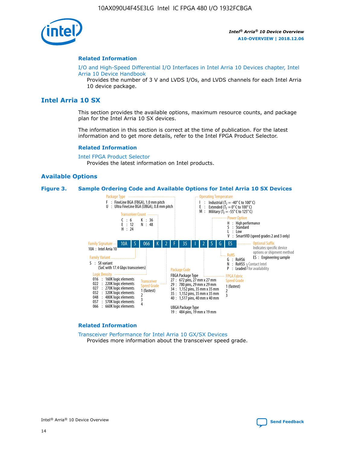

#### **Related Information**

[I/O and High-Speed Differential I/O Interfaces in Intel Arria 10 Devices chapter, Intel](https://www.intel.com/content/www/us/en/programmable/documentation/sam1403482614086.html#sam1403482030321) [Arria 10 Device Handbook](https://www.intel.com/content/www/us/en/programmable/documentation/sam1403482614086.html#sam1403482030321)

Provides the number of 3 V and LVDS I/Os, and LVDS channels for each Intel Arria 10 device package.

# **Intel Arria 10 SX**

This section provides the available options, maximum resource counts, and package plan for the Intel Arria 10 SX devices.

The information in this section is correct at the time of publication. For the latest information and to get more details, refer to the Intel FPGA Product Selector.

#### **Related Information**

[Intel FPGA Product Selector](http://www.altera.com/products/selector/psg-selector.html) Provides the latest information on Intel products.

#### **Available Options**

#### **Figure 3. Sample Ordering Code and Available Options for Intel Arria 10 SX Devices**



#### **Related Information**

[Transceiver Performance for Intel Arria 10 GX/SX Devices](https://www.intel.com/content/www/us/en/programmable/documentation/mcn1413182292568.html#mcn1413213965502) Provides more information about the transceiver speed grade.

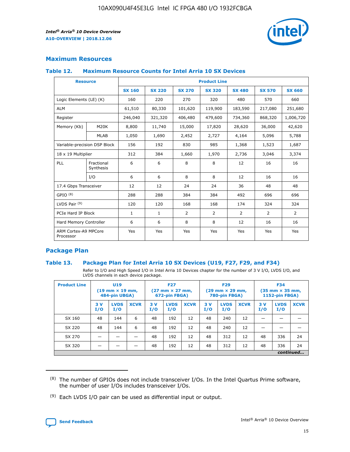

# **Maximum Resources**

#### **Table 12. Maximum Resource Counts for Intel Arria 10 SX Devices**

| <b>Resource</b>                   |                         | <b>Product Line</b> |               |                |                |               |                |               |  |  |  |
|-----------------------------------|-------------------------|---------------------|---------------|----------------|----------------|---------------|----------------|---------------|--|--|--|
|                                   |                         | <b>SX 160</b>       | <b>SX 220</b> | <b>SX 270</b>  | <b>SX 320</b>  | <b>SX 480</b> | <b>SX 570</b>  | <b>SX 660</b> |  |  |  |
| Logic Elements (LE) (K)           |                         | 160                 | 220           | 270            | 320            | 480           | 570            | 660           |  |  |  |
| <b>ALM</b>                        |                         | 61,510              | 80,330        | 101,620        | 119,900        | 183,590       | 217,080        | 251,680       |  |  |  |
| Register                          |                         | 246,040             | 321,320       | 406,480        | 479,600        | 734,360       | 868,320        | 1,006,720     |  |  |  |
| Memory (Kb)                       | <b>M20K</b>             | 8,800               | 11,740        | 15,000         | 17,820         | 28,620        | 36,000         | 42,620        |  |  |  |
|                                   | <b>MLAB</b>             | 1,050               | 1,690         | 2,452          | 2,727          | 4,164         | 5,096          | 5,788         |  |  |  |
| Variable-precision DSP Block      |                         | 156                 | 192           | 830            | 985            | 1,368         | 1,523          | 1,687         |  |  |  |
| 18 x 19 Multiplier                |                         | 312                 | 384           | 1,660          | 1,970          | 2,736         | 3,046          | 3,374         |  |  |  |
| PLL                               | Fractional<br>Synthesis | 6                   | 6             | 8              | 8              | 12            | 16             | 16            |  |  |  |
|                                   | I/O                     | 6                   | 6             | 8              | 8              | 12            | 16             | 16            |  |  |  |
| 17.4 Gbps Transceiver             |                         | 12                  | 12            | 24             | 24             | 36            | 48             | 48            |  |  |  |
| GPIO <sup>(8)</sup>               |                         | 288                 | 288           | 384            | 384            | 492           | 696            | 696           |  |  |  |
| LVDS Pair $(9)$                   |                         | 120                 | 120           | 168            | 168            | 174           | 324            | 324           |  |  |  |
| PCIe Hard IP Block                |                         | $\mathbf{1}$        | 1             | $\overline{2}$ | $\overline{2}$ | 2             | $\overline{2}$ | 2             |  |  |  |
| Hard Memory Controller            |                         | 6                   | 6             | 8              | 8              | 12            | 16             | 16            |  |  |  |
| ARM Cortex-A9 MPCore<br>Processor |                         | Yes                 | Yes           | Yes            | Yes            | Yes           | Yes            | Yes           |  |  |  |

# **Package Plan**

#### **Table 13. Package Plan for Intel Arria 10 SX Devices (U19, F27, F29, and F34)**

Refer to I/O and High Speed I/O in Intel Arria 10 Devices chapter for the number of 3 V I/O, LVDS I/O, and LVDS channels in each device package.

| <b>Product Line</b> | U19<br>$(19 \text{ mm} \times 19 \text{ mm})$<br>484-pin UBGA) |                    |             | <b>F27</b><br>$(27 \text{ mm} \times 27 \text{ mm})$ .<br>672-pin FBGA) |                    | <b>F29</b><br>$(29 \text{ mm} \times 29 \text{ mm})$ .<br>780-pin FBGA) |            |                    | <b>F34</b><br>$(35 \text{ mm} \times 35 \text{ mm})$<br><b>1152-pin FBGA)</b> |           |                    |             |
|---------------------|----------------------------------------------------------------|--------------------|-------------|-------------------------------------------------------------------------|--------------------|-------------------------------------------------------------------------|------------|--------------------|-------------------------------------------------------------------------------|-----------|--------------------|-------------|
|                     | 3V<br>I/O                                                      | <b>LVDS</b><br>I/O | <b>XCVR</b> | 3V<br>I/O                                                               | <b>LVDS</b><br>I/O | <b>XCVR</b>                                                             | 3 V<br>I/O | <b>LVDS</b><br>I/O | <b>XCVR</b>                                                                   | 3V<br>I/O | <b>LVDS</b><br>I/O | <b>XCVR</b> |
| SX 160              | 48                                                             | 144                | 6           | 48                                                                      | 192                | 12                                                                      | 48         | 240                | 12                                                                            |           |                    |             |
| SX 220              | 48                                                             | 144                | 6           | 48                                                                      | 192                | 12                                                                      | 48         | 240                | 12                                                                            |           |                    |             |
| SX 270              |                                                                |                    |             | 48                                                                      | 192                | 12                                                                      | 48         | 312                | 12                                                                            | 48        | 336                | 24          |
| SX 320              |                                                                |                    |             | 48                                                                      | 192                | 12                                                                      | 48         | 312                | 12                                                                            | 48        | 336                | 24          |
|                     | continued                                                      |                    |             |                                                                         |                    |                                                                         |            |                    |                                                                               |           |                    |             |

 $(8)$  The number of GPIOs does not include transceiver I/Os. In the Intel Quartus Prime software, the number of user I/Os includes transceiver I/Os.

 $(9)$  Each LVDS I/O pair can be used as differential input or output.

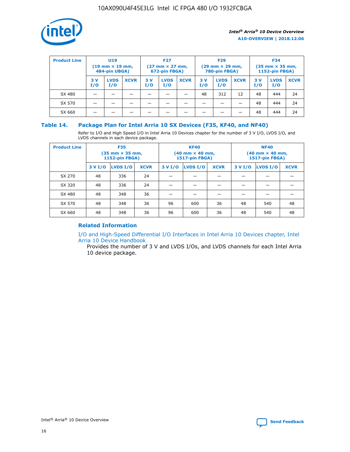

| <b>Product Line</b> | <b>U19</b><br>$(19 \text{ mm} \times 19 \text{ mm})$<br>484-pin UBGA) |                    | <b>F27</b><br>$(27 \text{ mm} \times 27 \text{ mm})$<br>672-pin FBGA) |           | <b>F29</b><br>$(29$ mm $\times$ 29 mm,<br>780-pin FBGA) |             |           | <b>F34</b><br>$(35$ mm $\times$ 35 mm,<br><b>1152-pin FBGA)</b> |             |           |                    |             |
|---------------------|-----------------------------------------------------------------------|--------------------|-----------------------------------------------------------------------|-----------|---------------------------------------------------------|-------------|-----------|-----------------------------------------------------------------|-------------|-----------|--------------------|-------------|
|                     | 3 V<br>I/O                                                            | <b>LVDS</b><br>I/O | <b>XCVR</b>                                                           | 3V<br>I/O | <b>LVDS</b><br>I/O                                      | <b>XCVR</b> | 3V<br>I/O | <b>LVDS</b><br>I/O                                              | <b>XCVR</b> | 3V<br>I/O | <b>LVDS</b><br>I/O | <b>XCVR</b> |
| SX 480              |                                                                       |                    |                                                                       |           |                                                         |             | 48        | 312                                                             | 12          | 48        | 444                | 24          |
| SX 570              |                                                                       |                    |                                                                       |           |                                                         |             |           |                                                                 |             | 48        | 444                | 24          |
| SX 660              |                                                                       |                    |                                                                       |           |                                                         |             |           |                                                                 |             | 48        | 444                | 24          |

## **Table 14. Package Plan for Intel Arria 10 SX Devices (F35, KF40, and NF40)**

Refer to I/O and High Speed I/O in Intel Arria 10 Devices chapter for the number of 3 V I/O, LVDS I/O, and LVDS channels in each device package.

| <b>Product Line</b> | <b>F35</b><br>(35 mm × 35 mm,<br><b>1152-pin FBGA)</b> |          |             |                                           | <b>KF40</b><br>(40 mm × 40 mm,<br>1517-pin FBGA) |    | <b>NF40</b><br>$(40 \text{ mm} \times 40 \text{ mm})$<br>1517-pin FBGA) |          |             |  |
|---------------------|--------------------------------------------------------|----------|-------------|-------------------------------------------|--------------------------------------------------|----|-------------------------------------------------------------------------|----------|-------------|--|
|                     | 3 V I/O                                                | LVDS I/O | <b>XCVR</b> | <b>LVDS I/O</b><br>3 V I/O<br><b>XCVR</b> |                                                  |    | 3 V I/O                                                                 | LVDS I/O | <b>XCVR</b> |  |
| SX 270              | 48                                                     | 336      | 24          |                                           |                                                  |    |                                                                         |          |             |  |
| SX 320              | 48                                                     | 336      | 24          |                                           |                                                  |    |                                                                         |          |             |  |
| SX 480              | 48                                                     | 348      | 36          |                                           |                                                  |    |                                                                         |          |             |  |
| SX 570              | 48                                                     | 348      | 36          | 96                                        | 600                                              | 36 | 48                                                                      | 540      | 48          |  |
| SX 660              | 48                                                     | 348      | 36          | 96                                        | 600                                              | 36 | 48                                                                      | 540      | 48          |  |

# **Related Information**

[I/O and High-Speed Differential I/O Interfaces in Intel Arria 10 Devices chapter, Intel](https://www.intel.com/content/www/us/en/programmable/documentation/sam1403482614086.html#sam1403482030321) [Arria 10 Device Handbook](https://www.intel.com/content/www/us/en/programmable/documentation/sam1403482614086.html#sam1403482030321)

Provides the number of 3 V and LVDS I/Os, and LVDS channels for each Intel Arria 10 device package.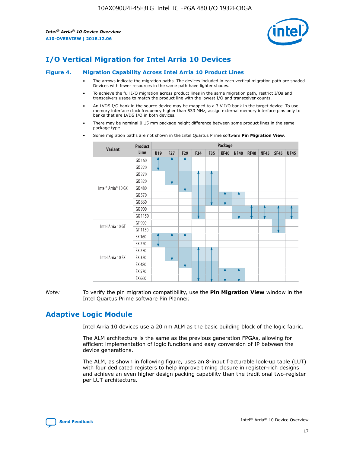

# **I/O Vertical Migration for Intel Arria 10 Devices**

#### **Figure 4. Migration Capability Across Intel Arria 10 Product Lines**

- The arrows indicate the migration paths. The devices included in each vertical migration path are shaded. Devices with fewer resources in the same path have lighter shades.
- To achieve the full I/O migration across product lines in the same migration path, restrict I/Os and transceivers usage to match the product line with the lowest I/O and transceiver counts.
- An LVDS I/O bank in the source device may be mapped to a 3 V I/O bank in the target device. To use memory interface clock frequency higher than 533 MHz, assign external memory interface pins only to banks that are LVDS I/O in both devices.
- There may be nominal 0.15 mm package height difference between some product lines in the same package type.
	- **Variant Product Line Package U19 F27 F29 F34 F35 KF40 NF40 RF40 NF45 SF45 UF45** Intel® Arria® 10 GX GX 160 GX 220 GX 270 GX 320 GX 480 GX 570 GX 660 GX 900 GX 1150 Intel Arria 10 GT GT 900 GT 1150 Intel Arria 10 SX SX 160 SX 220 SX 270 SX 320 SX 480 SX 570 SX 660
- Some migration paths are not shown in the Intel Quartus Prime software **Pin Migration View**.

*Note:* To verify the pin migration compatibility, use the **Pin Migration View** window in the Intel Quartus Prime software Pin Planner.

# **Adaptive Logic Module**

Intel Arria 10 devices use a 20 nm ALM as the basic building block of the logic fabric.

The ALM architecture is the same as the previous generation FPGAs, allowing for efficient implementation of logic functions and easy conversion of IP between the device generations.

The ALM, as shown in following figure, uses an 8-input fracturable look-up table (LUT) with four dedicated registers to help improve timing closure in register-rich designs and achieve an even higher design packing capability than the traditional two-register per LUT architecture.

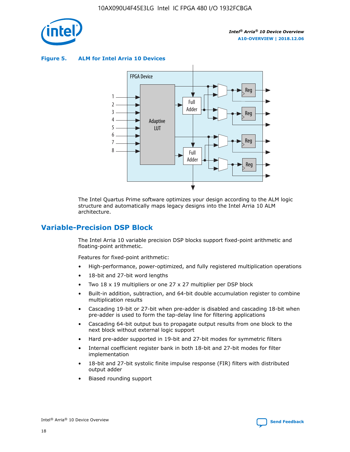

**Figure 5. ALM for Intel Arria 10 Devices**



The Intel Quartus Prime software optimizes your design according to the ALM logic structure and automatically maps legacy designs into the Intel Arria 10 ALM architecture.

# **Variable-Precision DSP Block**

The Intel Arria 10 variable precision DSP blocks support fixed-point arithmetic and floating-point arithmetic.

Features for fixed-point arithmetic:

- High-performance, power-optimized, and fully registered multiplication operations
- 18-bit and 27-bit word lengths
- Two 18 x 19 multipliers or one 27 x 27 multiplier per DSP block
- Built-in addition, subtraction, and 64-bit double accumulation register to combine multiplication results
- Cascading 19-bit or 27-bit when pre-adder is disabled and cascading 18-bit when pre-adder is used to form the tap-delay line for filtering applications
- Cascading 64-bit output bus to propagate output results from one block to the next block without external logic support
- Hard pre-adder supported in 19-bit and 27-bit modes for symmetric filters
- Internal coefficient register bank in both 18-bit and 27-bit modes for filter implementation
- 18-bit and 27-bit systolic finite impulse response (FIR) filters with distributed output adder
- Biased rounding support

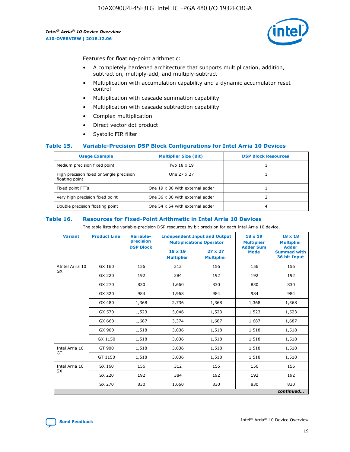

Features for floating-point arithmetic:

- A completely hardened architecture that supports multiplication, addition, subtraction, multiply-add, and multiply-subtract
- Multiplication with accumulation capability and a dynamic accumulator reset control
- Multiplication with cascade summation capability
- Multiplication with cascade subtraction capability
- Complex multiplication
- Direct vector dot product
- Systolic FIR filter

#### **Table 15. Variable-Precision DSP Block Configurations for Intel Arria 10 Devices**

| <b>Usage Example</b>                                       | <b>Multiplier Size (Bit)</b>    | <b>DSP Block Resources</b> |
|------------------------------------------------------------|---------------------------------|----------------------------|
| Medium precision fixed point                               | Two 18 x 19                     |                            |
| High precision fixed or Single precision<br>floating point | One 27 x 27                     |                            |
| Fixed point FFTs                                           | One 19 x 36 with external adder |                            |
| Very high precision fixed point                            | One 36 x 36 with external adder |                            |
| Double precision floating point                            | One 54 x 54 with external adder | 4                          |

#### **Table 16. Resources for Fixed-Point Arithmetic in Intel Arria 10 Devices**

The table lists the variable-precision DSP resources by bit precision for each Intel Arria 10 device.

| <b>Variant</b>        | <b>Product Line</b> | Variable-<br>precision<br><b>DSP Block</b> | <b>Independent Input and Output</b><br><b>Multiplications Operator</b> |                                     | 18 x 19<br><b>Multiplier</b><br><b>Adder Sum</b> | $18 \times 18$<br><b>Multiplier</b><br><b>Adder</b> |
|-----------------------|---------------------|--------------------------------------------|------------------------------------------------------------------------|-------------------------------------|--------------------------------------------------|-----------------------------------------------------|
|                       |                     |                                            | 18 x 19<br><b>Multiplier</b>                                           | $27 \times 27$<br><b>Multiplier</b> | <b>Mode</b>                                      | <b>Summed with</b><br>36 bit Input                  |
| AIntel Arria 10<br>GX | GX 160              | 156                                        | 312                                                                    | 156                                 | 156                                              | 156                                                 |
|                       | GX 220              | 192                                        | 384                                                                    | 192                                 | 192                                              | 192                                                 |
|                       | GX 270              | 830                                        | 1,660                                                                  | 830                                 | 830                                              | 830                                                 |
|                       | GX 320              | 984                                        | 1,968                                                                  | 984                                 | 984                                              | 984                                                 |
|                       | GX 480              | 1,368                                      | 2,736                                                                  | 1,368                               | 1,368                                            | 1,368                                               |
|                       | GX 570              | 1,523                                      | 3,046                                                                  | 1,523                               | 1,523                                            | 1,523                                               |
|                       | GX 660              | 1,687                                      | 3,374                                                                  | 1,687                               | 1,687                                            | 1,687                                               |
|                       | GX 900              | 1,518                                      | 3,036                                                                  | 1,518                               | 1,518                                            | 1,518                                               |
|                       | GX 1150             | 1,518                                      | 3,036                                                                  | 1,518                               | 1,518                                            | 1,518                                               |
| Intel Arria 10        | GT 900              | 1,518                                      | 3,036                                                                  | 1,518                               | 1,518                                            | 1,518                                               |
| GT                    | GT 1150             | 1,518                                      | 3,036                                                                  | 1,518                               | 1,518                                            | 1,518                                               |
| Intel Arria 10        | SX 160              | 156                                        | 312                                                                    | 156                                 | 156                                              | 156                                                 |
| <b>SX</b>             | SX 220              | 192                                        | 384                                                                    | 192                                 | 192                                              | 192                                                 |
|                       | SX 270              | 830                                        | 1,660                                                                  | 830                                 | 830                                              | 830                                                 |
|                       |                     |                                            |                                                                        |                                     |                                                  | continued                                           |

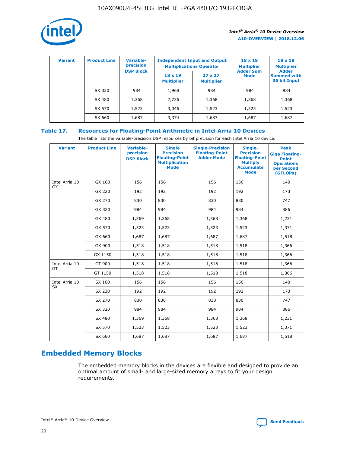

| <b>Variant</b> | <b>Product Line</b> | Variable-<br>precision | <b>Independent Input and Output</b><br><b>Multiplications Operator</b> |                                     | $18 \times 19$<br><b>Multiplier</b> | $18 \times 18$<br><b>Multiplier</b><br><b>Adder</b> |  |
|----------------|---------------------|------------------------|------------------------------------------------------------------------|-------------------------------------|-------------------------------------|-----------------------------------------------------|--|
|                |                     | <b>DSP Block</b>       | $18 \times 19$<br><b>Multiplier</b>                                    | $27 \times 27$<br><b>Multiplier</b> | <b>Adder Sum</b><br><b>Mode</b>     | <b>Summed with</b><br>36 bit Input                  |  |
|                | SX 320              | 984                    | 1,968                                                                  | 984                                 | 984                                 | 984                                                 |  |
|                | SX 480              | 1,368                  | 2,736                                                                  | 1,368                               | 1,368                               | 1,368                                               |  |
|                | SX 570              | 1,523                  | 3,046                                                                  | 1,523                               | 1,523                               | 1,523                                               |  |
|                | SX 660              | 1,687                  | 3,374                                                                  | 1,687                               | 1,687                               | 1,687                                               |  |

# **Table 17. Resources for Floating-Point Arithmetic in Intel Arria 10 Devices**

The table lists the variable-precision DSP resources by bit precision for each Intel Arria 10 device.

| <b>Variant</b> | <b>Product Line</b> | <b>Variable-</b><br>precision<br><b>DSP Block</b> | <b>Single</b><br><b>Precision</b><br><b>Floating-Point</b><br><b>Multiplication</b><br><b>Mode</b> | <b>Single-Precision</b><br><b>Floating-Point</b><br><b>Adder Mode</b> | Single-<br><b>Precision</b><br><b>Floating-Point</b><br><b>Multiply</b><br><b>Accumulate</b><br><b>Mode</b> | <b>Peak</b><br><b>Giga Floating-</b><br><b>Point</b><br><b>Operations</b><br>per Second<br>(GFLOPs) |
|----------------|---------------------|---------------------------------------------------|----------------------------------------------------------------------------------------------------|-----------------------------------------------------------------------|-------------------------------------------------------------------------------------------------------------|-----------------------------------------------------------------------------------------------------|
| Intel Arria 10 | GX 160              | 156                                               | 156                                                                                                | 156                                                                   | 156                                                                                                         | 140                                                                                                 |
| GX             | GX 220              | 192                                               | 192                                                                                                | 192                                                                   | 192                                                                                                         | 173                                                                                                 |
|                | GX 270              | 830                                               | 830                                                                                                | 830                                                                   | 830                                                                                                         | 747                                                                                                 |
|                | GX 320              | 984                                               | 984                                                                                                | 984                                                                   | 984                                                                                                         | 886                                                                                                 |
|                | GX 480              | 1,369                                             | 1,368                                                                                              | 1,368                                                                 | 1,368                                                                                                       | 1,231                                                                                               |
|                | GX 570              | 1,523                                             | 1,523                                                                                              | 1,523                                                                 | 1,523                                                                                                       | 1,371                                                                                               |
|                | GX 660              | 1,687                                             | 1,687                                                                                              | 1,687                                                                 | 1,687                                                                                                       | 1,518                                                                                               |
|                | GX 900              | 1,518                                             | 1,518                                                                                              | 1,518                                                                 | 1,518                                                                                                       | 1,366                                                                                               |
|                | GX 1150             | 1,518                                             | 1,518                                                                                              | 1,518                                                                 | 1,518                                                                                                       | 1,366                                                                                               |
| Intel Arria 10 | GT 900              | 1,518                                             | 1,518                                                                                              | 1,518                                                                 | 1,518                                                                                                       | 1,366                                                                                               |
| GT             | GT 1150             | 1,518                                             | 1,518                                                                                              | 1,518                                                                 | 1,518                                                                                                       | 1,366                                                                                               |
| Intel Arria 10 | SX 160              | 156                                               | 156                                                                                                | 156                                                                   | 156                                                                                                         | 140                                                                                                 |
| <b>SX</b>      | SX 220              | 192                                               | 192                                                                                                | 192                                                                   | 192                                                                                                         | 173                                                                                                 |
|                | SX 270              | 830                                               | 830                                                                                                | 830                                                                   | 830                                                                                                         | 747                                                                                                 |
|                | SX 320              | 984                                               | 984                                                                                                | 984                                                                   | 984                                                                                                         | 886                                                                                                 |
|                | SX 480              | 1,369                                             | 1,368                                                                                              | 1,368                                                                 | 1,368                                                                                                       | 1,231                                                                                               |
|                | SX 570              | 1,523                                             | 1,523                                                                                              | 1,523                                                                 | 1,523                                                                                                       | 1,371                                                                                               |
|                | SX 660              | 1,687                                             | 1,687                                                                                              | 1,687                                                                 | 1,687                                                                                                       | 1,518                                                                                               |

# **Embedded Memory Blocks**

The embedded memory blocks in the devices are flexible and designed to provide an optimal amount of small- and large-sized memory arrays to fit your design requirements.

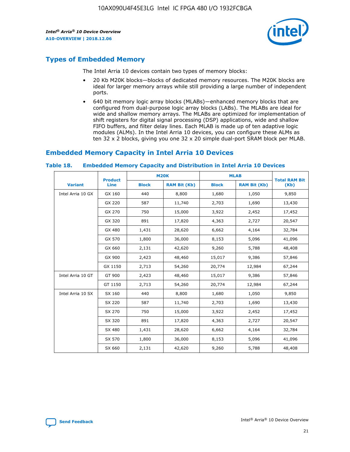

# **Types of Embedded Memory**

The Intel Arria 10 devices contain two types of memory blocks:

- 20 Kb M20K blocks—blocks of dedicated memory resources. The M20K blocks are ideal for larger memory arrays while still providing a large number of independent ports.
- 640 bit memory logic array blocks (MLABs)—enhanced memory blocks that are configured from dual-purpose logic array blocks (LABs). The MLABs are ideal for wide and shallow memory arrays. The MLABs are optimized for implementation of shift registers for digital signal processing (DSP) applications, wide and shallow FIFO buffers, and filter delay lines. Each MLAB is made up of ten adaptive logic modules (ALMs). In the Intel Arria 10 devices, you can configure these ALMs as ten 32 x 2 blocks, giving you one 32 x 20 simple dual-port SRAM block per MLAB.

# **Embedded Memory Capacity in Intel Arria 10 Devices**

|                   | <b>Product</b> |              | <b>M20K</b>         | <b>MLAB</b>  |                     | <b>Total RAM Bit</b> |
|-------------------|----------------|--------------|---------------------|--------------|---------------------|----------------------|
| <b>Variant</b>    | Line           | <b>Block</b> | <b>RAM Bit (Kb)</b> | <b>Block</b> | <b>RAM Bit (Kb)</b> | (Kb)                 |
| Intel Arria 10 GX | GX 160         | 440          | 8,800               | 1,680        | 1,050               | 9,850                |
|                   | GX 220         | 587          | 11,740              | 2,703        | 1,690               | 13,430               |
|                   | GX 270         | 750          | 15,000              | 3,922        | 2,452               | 17,452               |
|                   | GX 320         | 891          | 17,820              | 4,363        | 2,727               | 20,547               |
|                   | GX 480         | 1,431        | 28,620              | 6,662        | 4,164               | 32,784               |
|                   | GX 570         | 1,800        | 36,000              | 8,153        | 5,096               | 41,096               |
|                   | GX 660         | 2,131        | 42,620              | 9,260        | 5,788               | 48,408               |
|                   | GX 900         | 2,423        | 48,460              | 15,017       | 9,386               | 57,846               |
|                   | GX 1150        | 2,713        | 54,260              | 20,774       | 12,984              | 67,244               |
| Intel Arria 10 GT | GT 900         | 2,423        | 48,460              | 15,017       | 9,386               | 57,846               |
|                   | GT 1150        | 2,713        | 54,260              | 20,774       | 12,984              | 67,244               |
| Intel Arria 10 SX | SX 160         | 440          | 8,800               | 1,680        | 1,050               | 9,850                |
|                   | SX 220         | 587          | 11,740              | 2,703        | 1,690               | 13,430               |
|                   | SX 270         | 750          | 15,000              | 3,922        | 2,452               | 17,452               |
|                   | SX 320         | 891          | 17,820              | 4,363        | 2,727               | 20,547               |
|                   | SX 480         | 1,431        | 28,620              | 6,662        | 4,164               | 32,784               |
|                   | SX 570         | 1,800        | 36,000              | 8,153        | 5,096               | 41,096               |
|                   | SX 660         | 2,131        | 42,620              | 9,260        | 5,788               | 48,408               |

#### **Table 18. Embedded Memory Capacity and Distribution in Intel Arria 10 Devices**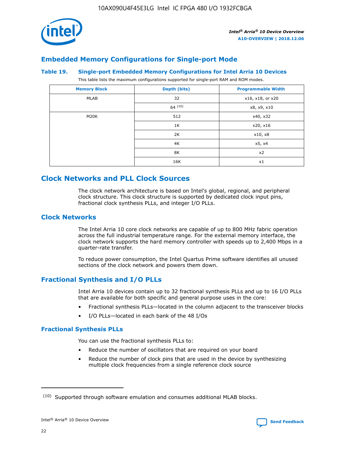

# **Embedded Memory Configurations for Single-port Mode**

#### **Table 19. Single-port Embedded Memory Configurations for Intel Arria 10 Devices**

This table lists the maximum configurations supported for single-port RAM and ROM modes.

| <b>Memory Block</b> | Depth (bits) | <b>Programmable Width</b> |
|---------------------|--------------|---------------------------|
| MLAB                | 32           | x16, x18, or x20          |
|                     | 64(10)       | x8, x9, x10               |
| M20K                | 512          | x40, x32                  |
|                     | 1K           | x20, x16                  |
|                     | 2K           | x10, x8                   |
|                     | 4K           | x5, x4                    |
|                     | 8K           | x2                        |
|                     | 16K          | x1                        |

# **Clock Networks and PLL Clock Sources**

The clock network architecture is based on Intel's global, regional, and peripheral clock structure. This clock structure is supported by dedicated clock input pins, fractional clock synthesis PLLs, and integer I/O PLLs.

# **Clock Networks**

The Intel Arria 10 core clock networks are capable of up to 800 MHz fabric operation across the full industrial temperature range. For the external memory interface, the clock network supports the hard memory controller with speeds up to 2,400 Mbps in a quarter-rate transfer.

To reduce power consumption, the Intel Quartus Prime software identifies all unused sections of the clock network and powers them down.

# **Fractional Synthesis and I/O PLLs**

Intel Arria 10 devices contain up to 32 fractional synthesis PLLs and up to 16 I/O PLLs that are available for both specific and general purpose uses in the core:

- Fractional synthesis PLLs—located in the column adjacent to the transceiver blocks
- I/O PLLs—located in each bank of the 48 I/Os

#### **Fractional Synthesis PLLs**

You can use the fractional synthesis PLLs to:

- Reduce the number of oscillators that are required on your board
- Reduce the number of clock pins that are used in the device by synthesizing multiple clock frequencies from a single reference clock source

<sup>(10)</sup> Supported through software emulation and consumes additional MLAB blocks.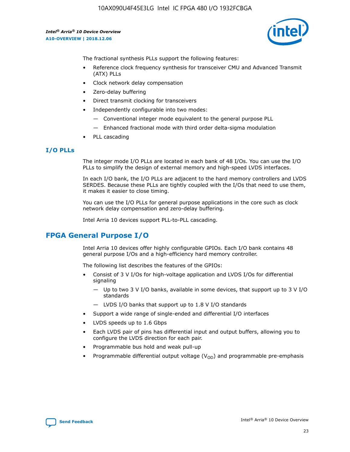10AX090U4F45E3LG Intel IC FPGA 480 I/O 1932FCBGA

*Intel® Arria® 10 Device Overview* **A10-OVERVIEW | 2018.12.06**



The fractional synthesis PLLs support the following features:

- Reference clock frequency synthesis for transceiver CMU and Advanced Transmit (ATX) PLLs
- Clock network delay compensation
- Zero-delay buffering
- Direct transmit clocking for transceivers
- Independently configurable into two modes:
	- Conventional integer mode equivalent to the general purpose PLL
	- Enhanced fractional mode with third order delta-sigma modulation
- PLL cascading

#### **I/O PLLs**

The integer mode I/O PLLs are located in each bank of 48 I/Os. You can use the I/O PLLs to simplify the design of external memory and high-speed LVDS interfaces.

In each I/O bank, the I/O PLLs are adjacent to the hard memory controllers and LVDS SERDES. Because these PLLs are tightly coupled with the I/Os that need to use them, it makes it easier to close timing.

You can use the I/O PLLs for general purpose applications in the core such as clock network delay compensation and zero-delay buffering.

Intel Arria 10 devices support PLL-to-PLL cascading.

# **FPGA General Purpose I/O**

Intel Arria 10 devices offer highly configurable GPIOs. Each I/O bank contains 48 general purpose I/Os and a high-efficiency hard memory controller.

The following list describes the features of the GPIOs:

- Consist of 3 V I/Os for high-voltage application and LVDS I/Os for differential signaling
	- Up to two 3 V I/O banks, available in some devices, that support up to 3 V I/O standards
	- LVDS I/O banks that support up to 1.8 V I/O standards
- Support a wide range of single-ended and differential I/O interfaces
- LVDS speeds up to 1.6 Gbps
- Each LVDS pair of pins has differential input and output buffers, allowing you to configure the LVDS direction for each pair.
- Programmable bus hold and weak pull-up
- Programmable differential output voltage  $(V_{OD})$  and programmable pre-emphasis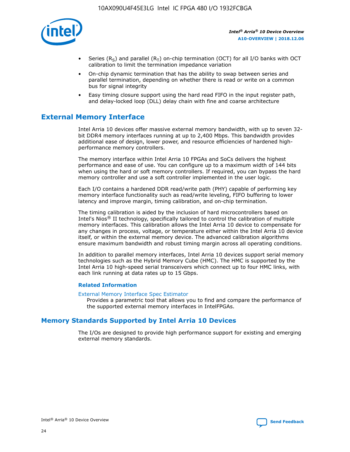

- Series (R<sub>S</sub>) and parallel (R<sub>T</sub>) on-chip termination (OCT) for all I/O banks with OCT calibration to limit the termination impedance variation
- On-chip dynamic termination that has the ability to swap between series and parallel termination, depending on whether there is read or write on a common bus for signal integrity
- Easy timing closure support using the hard read FIFO in the input register path, and delay-locked loop (DLL) delay chain with fine and coarse architecture

# **External Memory Interface**

Intel Arria 10 devices offer massive external memory bandwidth, with up to seven 32 bit DDR4 memory interfaces running at up to 2,400 Mbps. This bandwidth provides additional ease of design, lower power, and resource efficiencies of hardened highperformance memory controllers.

The memory interface within Intel Arria 10 FPGAs and SoCs delivers the highest performance and ease of use. You can configure up to a maximum width of 144 bits when using the hard or soft memory controllers. If required, you can bypass the hard memory controller and use a soft controller implemented in the user logic.

Each I/O contains a hardened DDR read/write path (PHY) capable of performing key memory interface functionality such as read/write leveling, FIFO buffering to lower latency and improve margin, timing calibration, and on-chip termination.

The timing calibration is aided by the inclusion of hard microcontrollers based on Intel's Nios® II technology, specifically tailored to control the calibration of multiple memory interfaces. This calibration allows the Intel Arria 10 device to compensate for any changes in process, voltage, or temperature either within the Intel Arria 10 device itself, or within the external memory device. The advanced calibration algorithms ensure maximum bandwidth and robust timing margin across all operating conditions.

In addition to parallel memory interfaces, Intel Arria 10 devices support serial memory technologies such as the Hybrid Memory Cube (HMC). The HMC is supported by the Intel Arria 10 high-speed serial transceivers which connect up to four HMC links, with each link running at data rates up to 15 Gbps.

#### **Related Information**

#### [External Memory Interface Spec Estimator](http://www.altera.com/technology/memory/estimator/mem-emif-index.html)

Provides a parametric tool that allows you to find and compare the performance of the supported external memory interfaces in IntelFPGAs.

# **Memory Standards Supported by Intel Arria 10 Devices**

The I/Os are designed to provide high performance support for existing and emerging external memory standards.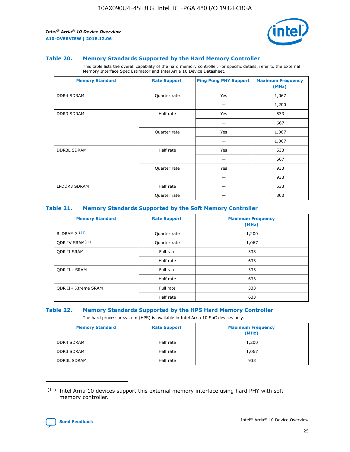

#### **Table 20. Memory Standards Supported by the Hard Memory Controller**

This table lists the overall capability of the hard memory controller. For specific details, refer to the External Memory Interface Spec Estimator and Intel Arria 10 Device Datasheet.

| <b>Memory Standard</b> | <b>Rate Support</b> | <b>Ping Pong PHY Support</b> | <b>Maximum Frequency</b><br>(MHz) |
|------------------------|---------------------|------------------------------|-----------------------------------|
| <b>DDR4 SDRAM</b>      | Quarter rate        | Yes                          | 1,067                             |
|                        |                     |                              | 1,200                             |
| DDR3 SDRAM             | Half rate           | Yes                          | 533                               |
|                        |                     |                              | 667                               |
|                        | Quarter rate        | Yes                          | 1,067                             |
|                        |                     |                              | 1,067                             |
| <b>DDR3L SDRAM</b>     | Half rate           | Yes                          | 533                               |
|                        |                     |                              | 667                               |
|                        | Quarter rate        | Yes                          | 933                               |
|                        |                     |                              | 933                               |
| LPDDR3 SDRAM           | Half rate           |                              | 533                               |
|                        | Quarter rate        |                              | 800                               |

#### **Table 21. Memory Standards Supported by the Soft Memory Controller**

| <b>Memory Standard</b>      | <b>Rate Support</b> | <b>Maximum Frequency</b><br>(MHz) |
|-----------------------------|---------------------|-----------------------------------|
| <b>RLDRAM 3 (11)</b>        | Quarter rate        | 1,200                             |
| ODR IV SRAM <sup>(11)</sup> | Quarter rate        | 1,067                             |
| <b>ODR II SRAM</b>          | Full rate           | 333                               |
|                             | Half rate           | 633                               |
| <b>ODR II+ SRAM</b>         | Full rate           | 333                               |
|                             | Half rate           | 633                               |
| <b>ODR II+ Xtreme SRAM</b>  | Full rate           | 333                               |
|                             | Half rate           | 633                               |

#### **Table 22. Memory Standards Supported by the HPS Hard Memory Controller**

The hard processor system (HPS) is available in Intel Arria 10 SoC devices only.

| <b>Memory Standard</b> | <b>Rate Support</b> | <b>Maximum Frequency</b><br>(MHz) |
|------------------------|---------------------|-----------------------------------|
| <b>DDR4 SDRAM</b>      | Half rate           | 1,200                             |
| <b>DDR3 SDRAM</b>      | Half rate           | 1,067                             |
| <b>DDR3L SDRAM</b>     | Half rate           | 933                               |

<sup>(11)</sup> Intel Arria 10 devices support this external memory interface using hard PHY with soft memory controller.

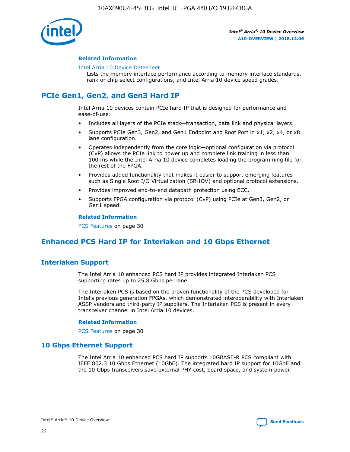

#### **Related Information**

#### [Intel Arria 10 Device Datasheet](https://www.intel.com/content/www/us/en/programmable/documentation/mcn1413182292568.html#mcn1413182153340)

Lists the memory interface performance according to memory interface standards, rank or chip select configurations, and Intel Arria 10 device speed grades.

# **PCIe Gen1, Gen2, and Gen3 Hard IP**

Intel Arria 10 devices contain PCIe hard IP that is designed for performance and ease-of-use:

- Includes all layers of the PCIe stack—transaction, data link and physical layers.
- Supports PCIe Gen3, Gen2, and Gen1 Endpoint and Root Port in x1, x2, x4, or x8 lane configuration.
- Operates independently from the core logic—optional configuration via protocol (CvP) allows the PCIe link to power up and complete link training in less than 100 ms while the Intel Arria 10 device completes loading the programming file for the rest of the FPGA.
- Provides added functionality that makes it easier to support emerging features such as Single Root I/O Virtualization (SR-IOV) and optional protocol extensions.
- Provides improved end-to-end datapath protection using ECC.
- Supports FPGA configuration via protocol (CvP) using PCIe at Gen3, Gen2, or Gen1 speed.

#### **Related Information**

PCS Features on page 30

# **Enhanced PCS Hard IP for Interlaken and 10 Gbps Ethernet**

# **Interlaken Support**

The Intel Arria 10 enhanced PCS hard IP provides integrated Interlaken PCS supporting rates up to 25.8 Gbps per lane.

The Interlaken PCS is based on the proven functionality of the PCS developed for Intel's previous generation FPGAs, which demonstrated interoperability with Interlaken ASSP vendors and third-party IP suppliers. The Interlaken PCS is present in every transceiver channel in Intel Arria 10 devices.

#### **Related Information**

PCS Features on page 30

# **10 Gbps Ethernet Support**

The Intel Arria 10 enhanced PCS hard IP supports 10GBASE-R PCS compliant with IEEE 802.3 10 Gbps Ethernet (10GbE). The integrated hard IP support for 10GbE and the 10 Gbps transceivers save external PHY cost, board space, and system power.

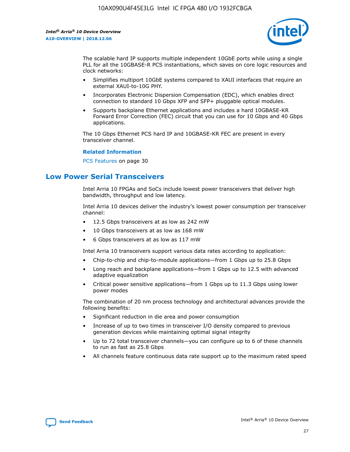

The scalable hard IP supports multiple independent 10GbE ports while using a single PLL for all the 10GBASE-R PCS instantiations, which saves on core logic resources and clock networks:

- Simplifies multiport 10GbE systems compared to XAUI interfaces that require an external XAUI-to-10G PHY.
- Incorporates Electronic Dispersion Compensation (EDC), which enables direct connection to standard 10 Gbps XFP and SFP+ pluggable optical modules.
- Supports backplane Ethernet applications and includes a hard 10GBASE-KR Forward Error Correction (FEC) circuit that you can use for 10 Gbps and 40 Gbps applications.

The 10 Gbps Ethernet PCS hard IP and 10GBASE-KR FEC are present in every transceiver channel.

#### **Related Information**

PCS Features on page 30

# **Low Power Serial Transceivers**

Intel Arria 10 FPGAs and SoCs include lowest power transceivers that deliver high bandwidth, throughput and low latency.

Intel Arria 10 devices deliver the industry's lowest power consumption per transceiver channel:

- 12.5 Gbps transceivers at as low as 242 mW
- 10 Gbps transceivers at as low as 168 mW
- 6 Gbps transceivers at as low as 117 mW

Intel Arria 10 transceivers support various data rates according to application:

- Chip-to-chip and chip-to-module applications—from 1 Gbps up to 25.8 Gbps
- Long reach and backplane applications—from 1 Gbps up to 12.5 with advanced adaptive equalization
- Critical power sensitive applications—from 1 Gbps up to 11.3 Gbps using lower power modes

The combination of 20 nm process technology and architectural advances provide the following benefits:

- Significant reduction in die area and power consumption
- Increase of up to two times in transceiver I/O density compared to previous generation devices while maintaining optimal signal integrity
- Up to 72 total transceiver channels—you can configure up to 6 of these channels to run as fast as 25.8 Gbps
- All channels feature continuous data rate support up to the maximum rated speed

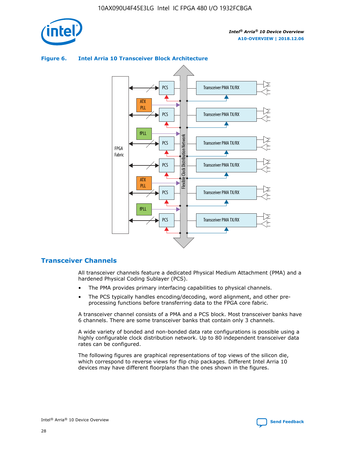

## Transceiver PMA TX/RX PCS ATX PLL Transceiver PMA TX/RX PCS fPLL Network Flexible Clock Distribution Network PCS Transceiver PMA TX/RX FPGA **Clock Distribution** Fabric PCS Transceiver PMA TX/RX ATX Flexible PLL PCS Transceiver PMA TX/RX ▲ fPLL Transceiver PMA TX/RX PCS 4

## **Figure 6. Intel Arria 10 Transceiver Block Architecture**

# **Transceiver Channels**

All transceiver channels feature a dedicated Physical Medium Attachment (PMA) and a hardened Physical Coding Sublayer (PCS).

- The PMA provides primary interfacing capabilities to physical channels.
- The PCS typically handles encoding/decoding, word alignment, and other preprocessing functions before transferring data to the FPGA core fabric.

A transceiver channel consists of a PMA and a PCS block. Most transceiver banks have 6 channels. There are some transceiver banks that contain only 3 channels.

A wide variety of bonded and non-bonded data rate configurations is possible using a highly configurable clock distribution network. Up to 80 independent transceiver data rates can be configured.

The following figures are graphical representations of top views of the silicon die, which correspond to reverse views for flip chip packages. Different Intel Arria 10 devices may have different floorplans than the ones shown in the figures.

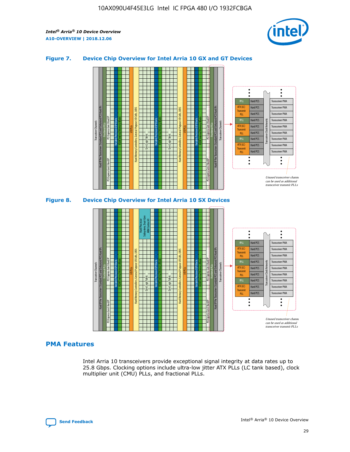

# **Figure 7. Device Chip Overview for Intel Arria 10 GX and GT Devices**





# **PMA Features**

Intel Arria 10 transceivers provide exceptional signal integrity at data rates up to 25.8 Gbps. Clocking options include ultra-low jitter ATX PLLs (LC tank based), clock multiplier unit (CMU) PLLs, and fractional PLLs.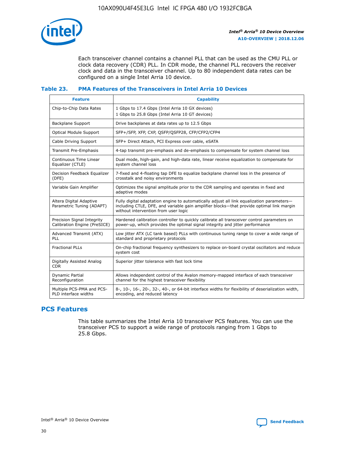

Each transceiver channel contains a channel PLL that can be used as the CMU PLL or clock data recovery (CDR) PLL. In CDR mode, the channel PLL recovers the receiver clock and data in the transceiver channel. Up to 80 independent data rates can be configured on a single Intel Arria 10 device.

## **Table 23. PMA Features of the Transceivers in Intel Arria 10 Devices**

| <b>Feature</b>                                             | <b>Capability</b>                                                                                                                                                                                                             |
|------------------------------------------------------------|-------------------------------------------------------------------------------------------------------------------------------------------------------------------------------------------------------------------------------|
| Chip-to-Chip Data Rates                                    | 1 Gbps to 17.4 Gbps (Intel Arria 10 GX devices)<br>1 Gbps to 25.8 Gbps (Intel Arria 10 GT devices)                                                                                                                            |
| <b>Backplane Support</b>                                   | Drive backplanes at data rates up to 12.5 Gbps                                                                                                                                                                                |
| <b>Optical Module Support</b>                              | SFP+/SFP, XFP, CXP, QSFP/QSFP28, CFP/CFP2/CFP4                                                                                                                                                                                |
| Cable Driving Support                                      | SFP+ Direct Attach, PCI Express over cable, eSATA                                                                                                                                                                             |
| Transmit Pre-Emphasis                                      | 4-tap transmit pre-emphasis and de-emphasis to compensate for system channel loss                                                                                                                                             |
| Continuous Time Linear<br>Equalizer (CTLE)                 | Dual mode, high-gain, and high-data rate, linear receive equalization to compensate for<br>system channel loss                                                                                                                |
| Decision Feedback Equalizer<br>(DFE)                       | 7-fixed and 4-floating tap DFE to equalize backplane channel loss in the presence of<br>crosstalk and noisy environments                                                                                                      |
| Variable Gain Amplifier                                    | Optimizes the signal amplitude prior to the CDR sampling and operates in fixed and<br>adaptive modes                                                                                                                          |
| Altera Digital Adaptive<br>Parametric Tuning (ADAPT)       | Fully digital adaptation engine to automatically adjust all link equalization parameters-<br>including CTLE, DFE, and variable gain amplifier blocks—that provide optimal link margin<br>without intervention from user logic |
| Precision Signal Integrity<br>Calibration Engine (PreSICE) | Hardened calibration controller to quickly calibrate all transceiver control parameters on<br>power-up, which provides the optimal signal integrity and jitter performance                                                    |
| Advanced Transmit (ATX)<br>PLL                             | Low jitter ATX (LC tank based) PLLs with continuous tuning range to cover a wide range of<br>standard and proprietary protocols                                                                                               |
| <b>Fractional PLLs</b>                                     | On-chip fractional frequency synthesizers to replace on-board crystal oscillators and reduce<br>system cost                                                                                                                   |
| Digitally Assisted Analog<br><b>CDR</b>                    | Superior jitter tolerance with fast lock time                                                                                                                                                                                 |
| Dynamic Partial<br>Reconfiguration                         | Allows independent control of the Avalon memory-mapped interface of each transceiver<br>channel for the highest transceiver flexibility                                                                                       |
| Multiple PCS-PMA and PCS-<br>PLD interface widths          | 8-, 10-, 16-, 20-, 32-, 40-, or 64-bit interface widths for flexibility of deserialization width,<br>encoding, and reduced latency                                                                                            |

# **PCS Features**

This table summarizes the Intel Arria 10 transceiver PCS features. You can use the transceiver PCS to support a wide range of protocols ranging from 1 Gbps to 25.8 Gbps.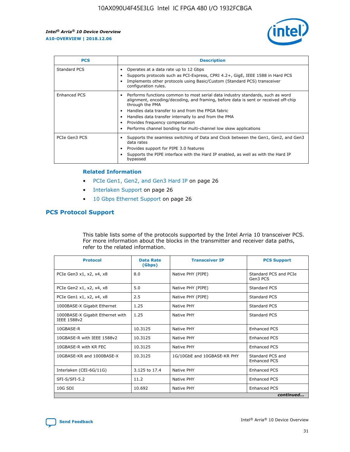

| <b>PCS</b>    | <b>Description</b>                                                                                                                                                                                                                                                                                                                                                                                             |
|---------------|----------------------------------------------------------------------------------------------------------------------------------------------------------------------------------------------------------------------------------------------------------------------------------------------------------------------------------------------------------------------------------------------------------------|
| Standard PCS  | Operates at a data rate up to 12 Gbps<br>Supports protocols such as PCI-Express, CPRI 4.2+, GigE, IEEE 1588 in Hard PCS<br>Implements other protocols using Basic/Custom (Standard PCS) transceiver<br>configuration rules.                                                                                                                                                                                    |
| Enhanced PCS  | Performs functions common to most serial data industry standards, such as word<br>alignment, encoding/decoding, and framing, before data is sent or received off-chip<br>through the PMA<br>• Handles data transfer to and from the FPGA fabric<br>Handles data transfer internally to and from the PMA<br>Provides frequency compensation<br>Performs channel bonding for multi-channel low skew applications |
| PCIe Gen3 PCS | Supports the seamless switching of Data and Clock between the Gen1, Gen2, and Gen3<br>data rates<br>Provides support for PIPE 3.0 features<br>Supports the PIPE interface with the Hard IP enabled, as well as with the Hard IP<br>bypassed                                                                                                                                                                    |

#### **Related Information**

- PCIe Gen1, Gen2, and Gen3 Hard IP on page 26
- Interlaken Support on page 26
- 10 Gbps Ethernet Support on page 26

# **PCS Protocol Support**

This table lists some of the protocols supported by the Intel Arria 10 transceiver PCS. For more information about the blocks in the transmitter and receiver data paths, refer to the related information.

| <b>Protocol</b>                                 | <b>Data Rate</b><br>(Gbps) | <b>Transceiver IP</b>       | <b>PCS Support</b>                      |
|-------------------------------------------------|----------------------------|-----------------------------|-----------------------------------------|
| PCIe Gen3 x1, x2, x4, x8                        | 8.0                        | Native PHY (PIPE)           | Standard PCS and PCIe<br>Gen3 PCS       |
| PCIe Gen2 x1, x2, x4, x8                        | 5.0                        | Native PHY (PIPE)           | <b>Standard PCS</b>                     |
| PCIe Gen1 x1, x2, x4, x8                        | 2.5                        | Native PHY (PIPE)           | Standard PCS                            |
| 1000BASE-X Gigabit Ethernet                     | 1.25                       | Native PHY                  | <b>Standard PCS</b>                     |
| 1000BASE-X Gigabit Ethernet with<br>IEEE 1588v2 | 1.25                       | Native PHY                  | Standard PCS                            |
| 10GBASE-R                                       | 10.3125                    | Native PHY                  | <b>Enhanced PCS</b>                     |
| 10GBASE-R with IEEE 1588v2                      | 10.3125                    | Native PHY                  | <b>Enhanced PCS</b>                     |
| 10GBASE-R with KR FEC                           | 10.3125                    | Native PHY                  | <b>Enhanced PCS</b>                     |
| 10GBASE-KR and 1000BASE-X                       | 10.3125                    | 1G/10GbE and 10GBASE-KR PHY | Standard PCS and<br><b>Enhanced PCS</b> |
| Interlaken (CEI-6G/11G)                         | 3.125 to 17.4              | Native PHY                  | <b>Enhanced PCS</b>                     |
| SFI-S/SFI-5.2                                   | 11.2                       | Native PHY                  | <b>Enhanced PCS</b>                     |
| $10G$ SDI                                       | 10.692                     | Native PHY                  | <b>Enhanced PCS</b>                     |
|                                                 |                            |                             | continued                               |

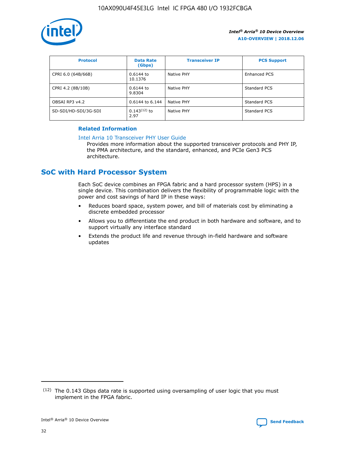

| <b>Protocol</b>      | <b>Data Rate</b><br>(Gbps) | <b>Transceiver IP</b> | <b>PCS Support</b> |
|----------------------|----------------------------|-----------------------|--------------------|
| CPRI 6.0 (64B/66B)   | 0.6144 to<br>10.1376       | Native PHY            | Enhanced PCS       |
| CPRI 4.2 (8B/10B)    | 0.6144 to<br>9.8304        | Native PHY            | Standard PCS       |
| OBSAI RP3 v4.2       | 0.6144 to 6.144            | Native PHY            | Standard PCS       |
| SD-SDI/HD-SDI/3G-SDI | $0.143(12)$ to<br>2.97     | Native PHY            | Standard PCS       |

# **Related Information**

#### [Intel Arria 10 Transceiver PHY User Guide](https://www.intel.com/content/www/us/en/programmable/documentation/nik1398707230472.html#nik1398707091164)

Provides more information about the supported transceiver protocols and PHY IP, the PMA architecture, and the standard, enhanced, and PCIe Gen3 PCS architecture.

# **SoC with Hard Processor System**

Each SoC device combines an FPGA fabric and a hard processor system (HPS) in a single device. This combination delivers the flexibility of programmable logic with the power and cost savings of hard IP in these ways:

- Reduces board space, system power, and bill of materials cost by eliminating a discrete embedded processor
- Allows you to differentiate the end product in both hardware and software, and to support virtually any interface standard
- Extends the product life and revenue through in-field hardware and software updates

 $(12)$  The 0.143 Gbps data rate is supported using oversampling of user logic that you must implement in the FPGA fabric.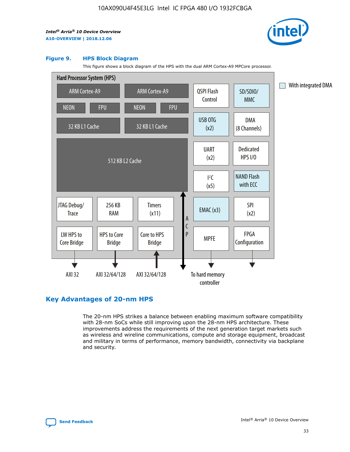

#### **Figure 9. HPS Block Diagram**

This figure shows a block diagram of the HPS with the dual ARM Cortex-A9 MPCore processor.



# **Key Advantages of 20-nm HPS**

The 20-nm HPS strikes a balance between enabling maximum software compatibility with 28-nm SoCs while still improving upon the 28-nm HPS architecture. These improvements address the requirements of the next generation target markets such as wireless and wireline communications, compute and storage equipment, broadcast and military in terms of performance, memory bandwidth, connectivity via backplane and security.

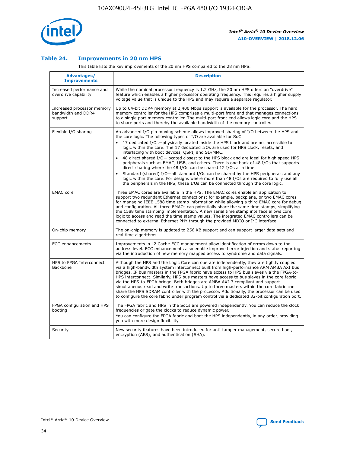

## **Table 24. Improvements in 20 nm HPS**

This table lists the key improvements of the 20 nm HPS compared to the 28 nm HPS.

| Advantages/<br><b>Improvements</b>                          | <b>Description</b>                                                                                                                                                                                                                                                                                                                                                                                                                                                                                                                                                                                                                                                                                                                                                                                                                                                                                                      |
|-------------------------------------------------------------|-------------------------------------------------------------------------------------------------------------------------------------------------------------------------------------------------------------------------------------------------------------------------------------------------------------------------------------------------------------------------------------------------------------------------------------------------------------------------------------------------------------------------------------------------------------------------------------------------------------------------------------------------------------------------------------------------------------------------------------------------------------------------------------------------------------------------------------------------------------------------------------------------------------------------|
| Increased performance and<br>overdrive capability           | While the nominal processor frequency is 1.2 GHz, the 20 nm HPS offers an "overdrive"<br>feature which enables a higher processor operating frequency. This requires a higher supply<br>voltage value that is unique to the HPS and may require a separate regulator.                                                                                                                                                                                                                                                                                                                                                                                                                                                                                                                                                                                                                                                   |
| Increased processor memory<br>bandwidth and DDR4<br>support | Up to 64-bit DDR4 memory at 2,400 Mbps support is available for the processor. The hard<br>memory controller for the HPS comprises a multi-port front end that manages connections<br>to a single port memory controller. The multi-port front end allows logic core and the HPS<br>to share ports and thereby the available bandwidth of the memory controller.                                                                                                                                                                                                                                                                                                                                                                                                                                                                                                                                                        |
| Flexible I/O sharing                                        | An advanced I/O pin muxing scheme allows improved sharing of I/O between the HPS and<br>the core logic. The following types of I/O are available for SoC:<br>17 dedicated I/Os-physically located inside the HPS block and are not accessible to<br>logic within the core. The 17 dedicated I/Os are used for HPS clock, resets, and<br>interfacing with boot devices, QSPI, and SD/MMC.<br>48 direct shared I/O-located closest to the HPS block and are ideal for high speed HPS<br>peripherals such as EMAC, USB, and others. There is one bank of 48 I/Os that supports<br>direct sharing where the 48 I/Os can be shared 12 I/Os at a time.<br>Standard (shared) I/O-all standard I/Os can be shared by the HPS peripherals and any<br>logic within the core. For designs where more than 48 I/Os are required to fully use all<br>the peripherals in the HPS, these I/Os can be connected through the core logic. |
| <b>EMAC</b> core                                            | Three EMAC cores are available in the HPS. The EMAC cores enable an application to<br>support two redundant Ethernet connections; for example, backplane, or two EMAC cores<br>for managing IEEE 1588 time stamp information while allowing a third EMAC core for debug<br>and configuration. All three EMACs can potentially share the same time stamps, simplifying<br>the 1588 time stamping implementation. A new serial time stamp interface allows core<br>logic to access and read the time stamp values. The integrated EMAC controllers can be<br>connected to external Ethernet PHY through the provided MDIO or I <sup>2</sup> C interface.                                                                                                                                                                                                                                                                  |
| On-chip memory                                              | The on-chip memory is updated to 256 KB support and can support larger data sets and<br>real time algorithms.                                                                                                                                                                                                                                                                                                                                                                                                                                                                                                                                                                                                                                                                                                                                                                                                           |
| <b>ECC</b> enhancements                                     | Improvements in L2 Cache ECC management allow identification of errors down to the<br>address level. ECC enhancements also enable improved error injection and status reporting<br>via the introduction of new memory mapped access to syndrome and data signals.                                                                                                                                                                                                                                                                                                                                                                                                                                                                                                                                                                                                                                                       |
| HPS to FPGA Interconnect<br><b>Backbone</b>                 | Although the HPS and the Logic Core can operate independently, they are tightly coupled<br>via a high-bandwidth system interconnect built from high-performance ARM AMBA AXI bus<br>bridges. IP bus masters in the FPGA fabric have access to HPS bus slaves via the FPGA-to-<br>HPS interconnect. Similarly, HPS bus masters have access to bus slaves in the core fabric<br>via the HPS-to-FPGA bridge. Both bridges are AMBA AXI-3 compliant and support<br>simultaneous read and write transactions. Up to three masters within the core fabric can<br>share the HPS SDRAM controller with the processor. Additionally, the processor can be used<br>to configure the core fabric under program control via a dedicated 32-bit configuration port.                                                                                                                                                                  |
| FPGA configuration and HPS<br>booting                       | The FPGA fabric and HPS in the SoCs are powered independently. You can reduce the clock<br>frequencies or gate the clocks to reduce dynamic power.<br>You can configure the FPGA fabric and boot the HPS independently, in any order, providing<br>you with more design flexibility.                                                                                                                                                                                                                                                                                                                                                                                                                                                                                                                                                                                                                                    |
| Security                                                    | New security features have been introduced for anti-tamper management, secure boot,<br>encryption (AES), and authentication (SHA).                                                                                                                                                                                                                                                                                                                                                                                                                                                                                                                                                                                                                                                                                                                                                                                      |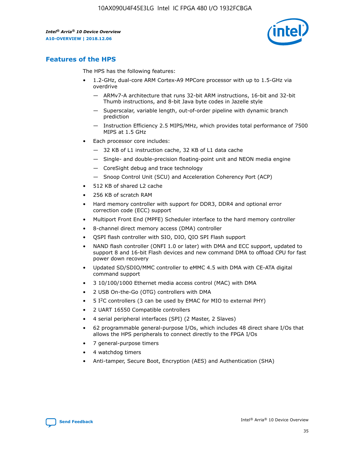

# **Features of the HPS**

The HPS has the following features:

- 1.2-GHz, dual-core ARM Cortex-A9 MPCore processor with up to 1.5-GHz via overdrive
	- ARMv7-A architecture that runs 32-bit ARM instructions, 16-bit and 32-bit Thumb instructions, and 8-bit Java byte codes in Jazelle style
	- Superscalar, variable length, out-of-order pipeline with dynamic branch prediction
	- Instruction Efficiency 2.5 MIPS/MHz, which provides total performance of 7500 MIPS at 1.5 GHz
- Each processor core includes:
	- 32 KB of L1 instruction cache, 32 KB of L1 data cache
	- Single- and double-precision floating-point unit and NEON media engine
	- CoreSight debug and trace technology
	- Snoop Control Unit (SCU) and Acceleration Coherency Port (ACP)
- 512 KB of shared L2 cache
- 256 KB of scratch RAM
- Hard memory controller with support for DDR3, DDR4 and optional error correction code (ECC) support
- Multiport Front End (MPFE) Scheduler interface to the hard memory controller
- 8-channel direct memory access (DMA) controller
- QSPI flash controller with SIO, DIO, QIO SPI Flash support
- NAND flash controller (ONFI 1.0 or later) with DMA and ECC support, updated to support 8 and 16-bit Flash devices and new command DMA to offload CPU for fast power down recovery
- Updated SD/SDIO/MMC controller to eMMC 4.5 with DMA with CE-ATA digital command support
- 3 10/100/1000 Ethernet media access control (MAC) with DMA
- 2 USB On-the-Go (OTG) controllers with DMA
- $\bullet$  5 I<sup>2</sup>C controllers (3 can be used by EMAC for MIO to external PHY)
- 2 UART 16550 Compatible controllers
- 4 serial peripheral interfaces (SPI) (2 Master, 2 Slaves)
- 62 programmable general-purpose I/Os, which includes 48 direct share I/Os that allows the HPS peripherals to connect directly to the FPGA I/Os
- 7 general-purpose timers
- 4 watchdog timers
- Anti-tamper, Secure Boot, Encryption (AES) and Authentication (SHA)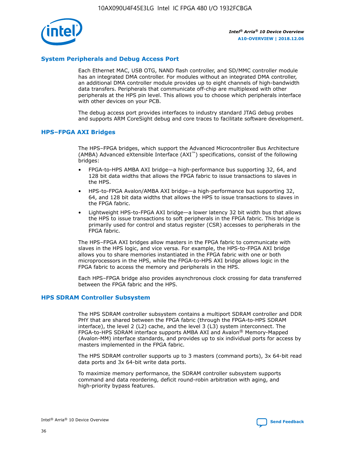

# **System Peripherals and Debug Access Port**

Each Ethernet MAC, USB OTG, NAND flash controller, and SD/MMC controller module has an integrated DMA controller. For modules without an integrated DMA controller, an additional DMA controller module provides up to eight channels of high-bandwidth data transfers. Peripherals that communicate off-chip are multiplexed with other peripherals at the HPS pin level. This allows you to choose which peripherals interface with other devices on your PCB.

The debug access port provides interfaces to industry standard JTAG debug probes and supports ARM CoreSight debug and core traces to facilitate software development.

## **HPS–FPGA AXI Bridges**

The HPS–FPGA bridges, which support the Advanced Microcontroller Bus Architecture (AMBA) Advanced eXtensible Interface (AXI™) specifications, consist of the following bridges:

- FPGA-to-HPS AMBA AXI bridge—a high-performance bus supporting 32, 64, and 128 bit data widths that allows the FPGA fabric to issue transactions to slaves in the HPS.
- HPS-to-FPGA Avalon/AMBA AXI bridge—a high-performance bus supporting 32, 64, and 128 bit data widths that allows the HPS to issue transactions to slaves in the FPGA fabric.
- Lightweight HPS-to-FPGA AXI bridge—a lower latency 32 bit width bus that allows the HPS to issue transactions to soft peripherals in the FPGA fabric. This bridge is primarily used for control and status register (CSR) accesses to peripherals in the FPGA fabric.

The HPS–FPGA AXI bridges allow masters in the FPGA fabric to communicate with slaves in the HPS logic, and vice versa. For example, the HPS-to-FPGA AXI bridge allows you to share memories instantiated in the FPGA fabric with one or both microprocessors in the HPS, while the FPGA-to-HPS AXI bridge allows logic in the FPGA fabric to access the memory and peripherals in the HPS.

Each HPS–FPGA bridge also provides asynchronous clock crossing for data transferred between the FPGA fabric and the HPS.

#### **HPS SDRAM Controller Subsystem**

The HPS SDRAM controller subsystem contains a multiport SDRAM controller and DDR PHY that are shared between the FPGA fabric (through the FPGA-to-HPS SDRAM interface), the level 2 (L2) cache, and the level 3 (L3) system interconnect. The FPGA-to-HPS SDRAM interface supports AMBA AXI and Avalon® Memory-Mapped (Avalon-MM) interface standards, and provides up to six individual ports for access by masters implemented in the FPGA fabric.

The HPS SDRAM controller supports up to 3 masters (command ports), 3x 64-bit read data ports and 3x 64-bit write data ports.

To maximize memory performance, the SDRAM controller subsystem supports command and data reordering, deficit round-robin arbitration with aging, and high-priority bypass features.

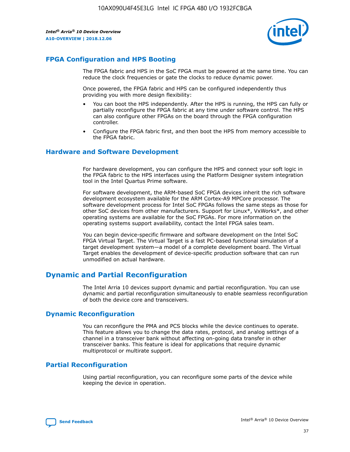

# **FPGA Configuration and HPS Booting**

The FPGA fabric and HPS in the SoC FPGA must be powered at the same time. You can reduce the clock frequencies or gate the clocks to reduce dynamic power.

Once powered, the FPGA fabric and HPS can be configured independently thus providing you with more design flexibility:

- You can boot the HPS independently. After the HPS is running, the HPS can fully or partially reconfigure the FPGA fabric at any time under software control. The HPS can also configure other FPGAs on the board through the FPGA configuration controller.
- Configure the FPGA fabric first, and then boot the HPS from memory accessible to the FPGA fabric.

## **Hardware and Software Development**

For hardware development, you can configure the HPS and connect your soft logic in the FPGA fabric to the HPS interfaces using the Platform Designer system integration tool in the Intel Quartus Prime software.

For software development, the ARM-based SoC FPGA devices inherit the rich software development ecosystem available for the ARM Cortex-A9 MPCore processor. The software development process for Intel SoC FPGAs follows the same steps as those for other SoC devices from other manufacturers. Support for Linux\*, VxWorks\*, and other operating systems are available for the SoC FPGAs. For more information on the operating systems support availability, contact the Intel FPGA sales team.

You can begin device-specific firmware and software development on the Intel SoC FPGA Virtual Target. The Virtual Target is a fast PC-based functional simulation of a target development system—a model of a complete development board. The Virtual Target enables the development of device-specific production software that can run unmodified on actual hardware.

# **Dynamic and Partial Reconfiguration**

The Intel Arria 10 devices support dynamic and partial reconfiguration. You can use dynamic and partial reconfiguration simultaneously to enable seamless reconfiguration of both the device core and transceivers.

# **Dynamic Reconfiguration**

You can reconfigure the PMA and PCS blocks while the device continues to operate. This feature allows you to change the data rates, protocol, and analog settings of a channel in a transceiver bank without affecting on-going data transfer in other transceiver banks. This feature is ideal for applications that require dynamic multiprotocol or multirate support.

# **Partial Reconfiguration**

Using partial reconfiguration, you can reconfigure some parts of the device while keeping the device in operation.

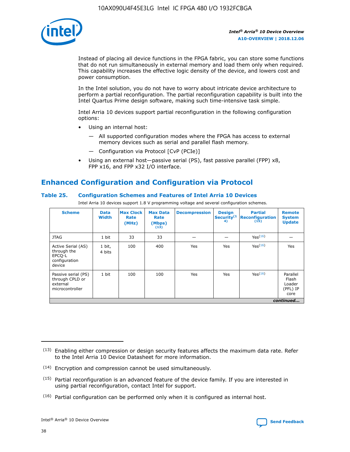

Instead of placing all device functions in the FPGA fabric, you can store some functions that do not run simultaneously in external memory and load them only when required. This capability increases the effective logic density of the device, and lowers cost and power consumption.

In the Intel solution, you do not have to worry about intricate device architecture to perform a partial reconfiguration. The partial reconfiguration capability is built into the Intel Quartus Prime design software, making such time-intensive task simple.

Intel Arria 10 devices support partial reconfiguration in the following configuration options:

- Using an internal host:
	- All supported configuration modes where the FPGA has access to external memory devices such as serial and parallel flash memory.
	- Configuration via Protocol [CvP (PCIe)]
- Using an external host—passive serial (PS), fast passive parallel (FPP) x8, FPP x16, and FPP x32 I/O interface.

# **Enhanced Configuration and Configuration via Protocol**

## **Table 25. Configuration Schemes and Features of Intel Arria 10 Devices**

Intel Arria 10 devices support 1.8 V programming voltage and several configuration schemes.

| <b>Scheme</b>                                                          | <b>Data</b><br><b>Width</b> | <b>Max Clock</b><br>Rate<br>(MHz) | <b>Max Data</b><br>Rate<br>(Mbps)<br>(13) | <b>Decompression</b> | <b>Design</b><br>Security <sup>(1</sup><br>4) | <b>Partial</b><br>Reconfiguration<br>(15) | <b>Remote</b><br><b>System</b><br><b>Update</b> |
|------------------------------------------------------------------------|-----------------------------|-----------------------------------|-------------------------------------------|----------------------|-----------------------------------------------|-------------------------------------------|-------------------------------------------------|
| <b>JTAG</b>                                                            | 1 bit                       | 33                                | 33                                        |                      |                                               | Yes(16)                                   |                                                 |
| Active Serial (AS)<br>through the<br>EPCO-L<br>configuration<br>device | 1 bit,<br>4 bits            | 100                               | 400                                       | Yes                  | Yes                                           | Yes(16)                                   | Yes                                             |
| Passive serial (PS)<br>through CPLD or<br>external<br>microcontroller  | 1 bit                       | 100                               | 100                                       | Yes                  | Yes                                           | Yes <sup>(16)</sup>                       | Parallel<br>Flash<br>Loader<br>(PFL) IP<br>core |
|                                                                        |                             |                                   |                                           |                      |                                               |                                           | continued                                       |

<sup>(13)</sup> Enabling either compression or design security features affects the maximum data rate. Refer to the Intel Arria 10 Device Datasheet for more information.

<sup>(14)</sup> Encryption and compression cannot be used simultaneously.

 $(15)$  Partial reconfiguration is an advanced feature of the device family. If you are interested in using partial reconfiguration, contact Intel for support.

 $(16)$  Partial configuration can be performed only when it is configured as internal host.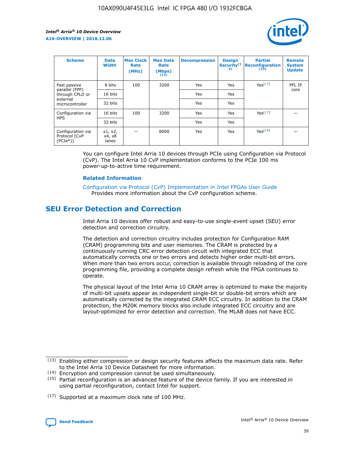

| <b>Scheme</b>                                    | <b>Data</b><br><b>Width</b> | <b>Max Clock</b><br>Rate<br>(MHz) | <b>Max Data</b><br>Rate<br>(Mbps)<br>(13) | <b>Decompression</b> | <b>Design</b><br>Security <sup>(1</sup><br>4) | <b>Partial</b><br><b>Reconfiguration</b><br>(15) | <b>Remote</b><br><b>System</b><br><b>Update</b> |
|--------------------------------------------------|-----------------------------|-----------------------------------|-------------------------------------------|----------------------|-----------------------------------------------|--------------------------------------------------|-------------------------------------------------|
| Fast passive                                     | 8 bits                      | 100                               | 3200                                      | Yes                  | Yes                                           | Yes(17)                                          | PFL IP                                          |
| parallel (FPP)<br>through CPLD or                | 16 bits                     |                                   |                                           | Yes                  | Yes                                           |                                                  | core                                            |
| external<br>microcontroller                      | 32 bits                     |                                   |                                           | Yes                  | Yes                                           |                                                  |                                                 |
| Configuration via                                | 16 bits                     | 100                               | 3200                                      | Yes                  | Yes                                           | Yes <sup>(17)</sup>                              |                                                 |
| <b>HPS</b>                                       | 32 bits                     |                                   |                                           | Yes                  | Yes                                           |                                                  |                                                 |
| Configuration via<br>Protocol [CvP<br>$(PCIe^*)$ | x1, x2,<br>x4, x8<br>lanes  |                                   | 8000                                      | Yes                  | Yes                                           | Yes <sup>(16)</sup>                              |                                                 |

You can configure Intel Arria 10 devices through PCIe using Configuration via Protocol (CvP). The Intel Arria 10 CvP implementation conforms to the PCIe 100 ms power-up-to-active time requirement.

#### **Related Information**

[Configuration via Protocol \(CvP\) Implementation in Intel FPGAs User Guide](https://www.intel.com/content/www/us/en/programmable/documentation/dsu1441819344145.html#dsu1442269728522) Provides more information about the CvP configuration scheme.

# **SEU Error Detection and Correction**

Intel Arria 10 devices offer robust and easy-to-use single-event upset (SEU) error detection and correction circuitry.

The detection and correction circuitry includes protection for Configuration RAM (CRAM) programming bits and user memories. The CRAM is protected by a continuously running CRC error detection circuit with integrated ECC that automatically corrects one or two errors and detects higher order multi-bit errors. When more than two errors occur, correction is available through reloading of the core programming file, providing a complete design refresh while the FPGA continues to operate.

The physical layout of the Intel Arria 10 CRAM array is optimized to make the majority of multi-bit upsets appear as independent single-bit or double-bit errors which are automatically corrected by the integrated CRAM ECC circuitry. In addition to the CRAM protection, the M20K memory blocks also include integrated ECC circuitry and are layout-optimized for error detection and correction. The MLAB does not have ECC.

(14) Encryption and compression cannot be used simultaneously.

<sup>(17)</sup> Supported at a maximum clock rate of 100 MHz.



 $(13)$  Enabling either compression or design security features affects the maximum data rate. Refer to the Intel Arria 10 Device Datasheet for more information.

 $(15)$  Partial reconfiguration is an advanced feature of the device family. If you are interested in using partial reconfiguration, contact Intel for support.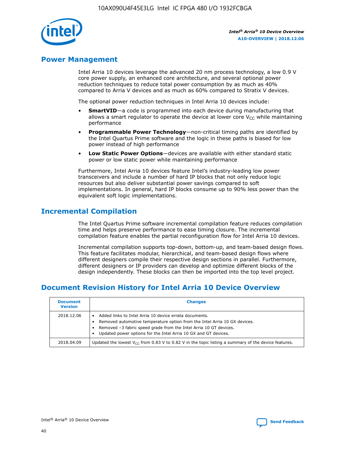

# **Power Management**

Intel Arria 10 devices leverage the advanced 20 nm process technology, a low 0.9 V core power supply, an enhanced core architecture, and several optional power reduction techniques to reduce total power consumption by as much as 40% compared to Arria V devices and as much as 60% compared to Stratix V devices.

The optional power reduction techniques in Intel Arria 10 devices include:

- **SmartVID**—a code is programmed into each device during manufacturing that allows a smart regulator to operate the device at lower core  $V_{CC}$  while maintaining performance
- **Programmable Power Technology**—non-critical timing paths are identified by the Intel Quartus Prime software and the logic in these paths is biased for low power instead of high performance
- **Low Static Power Options**—devices are available with either standard static power or low static power while maintaining performance

Furthermore, Intel Arria 10 devices feature Intel's industry-leading low power transceivers and include a number of hard IP blocks that not only reduce logic resources but also deliver substantial power savings compared to soft implementations. In general, hard IP blocks consume up to 90% less power than the equivalent soft logic implementations.

# **Incremental Compilation**

The Intel Quartus Prime software incremental compilation feature reduces compilation time and helps preserve performance to ease timing closure. The incremental compilation feature enables the partial reconfiguration flow for Intel Arria 10 devices.

Incremental compilation supports top-down, bottom-up, and team-based design flows. This feature facilitates modular, hierarchical, and team-based design flows where different designers compile their respective design sections in parallel. Furthermore, different designers or IP providers can develop and optimize different blocks of the design independently. These blocks can then be imported into the top level project.

# **Document Revision History for Intel Arria 10 Device Overview**

| <b>Document</b><br><b>Version</b> | <b>Changes</b>                                                                                                                                                                                                                                                              |
|-----------------------------------|-----------------------------------------------------------------------------------------------------------------------------------------------------------------------------------------------------------------------------------------------------------------------------|
| 2018.12.06                        | Added links to Intel Arria 10 device errata documents.<br>Removed automotive temperature option from the Intel Arria 10 GX devices.<br>Removed -3 fabric speed grade from the Intel Arria 10 GT devices.<br>Updated power options for the Intel Arria 10 GX and GT devices. |
| 2018.04.09                        | Updated the lowest $V_{CC}$ from 0.83 V to 0.82 V in the topic listing a summary of the device features.                                                                                                                                                                    |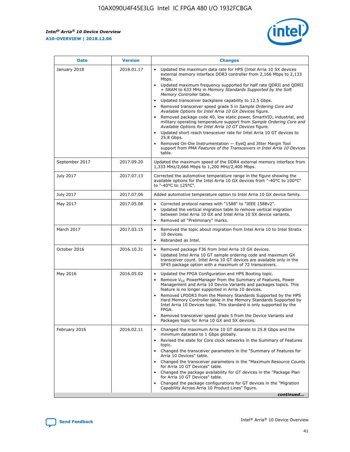*Intel® Arria® 10 Device Overview* **A10-OVERVIEW | 2018.12.06**



| <b>Date</b>    | <b>Version</b> | <b>Changes</b>                                                                                                                                                                                                                                                                                                                                                                                                                                                                                                                                                                                                                                                                                                                                                                                                                                                                                                                                                            |
|----------------|----------------|---------------------------------------------------------------------------------------------------------------------------------------------------------------------------------------------------------------------------------------------------------------------------------------------------------------------------------------------------------------------------------------------------------------------------------------------------------------------------------------------------------------------------------------------------------------------------------------------------------------------------------------------------------------------------------------------------------------------------------------------------------------------------------------------------------------------------------------------------------------------------------------------------------------------------------------------------------------------------|
| January 2018   | 2018.01.17     | Updated the maximum data rate for HPS (Intel Arria 10 SX devices<br>external memory interface DDR3 controller from 2,166 Mbps to 2,133<br>Mbps.<br>Updated maximum frequency supported for half rate QDRII and QDRII<br>+ SRAM to 633 MHz in Memory Standards Supported by the Soft<br>Memory Controller table.<br>Updated transceiver backplane capability to 12.5 Gbps.<br>$\bullet$<br>Removed transceiver speed grade 5 in Sample Ordering Core and<br>Available Options for Intel Arria 10 GX Devices figure.<br>Removed package code 40, low static power, SmartVID, industrial, and<br>military operating temperature support from Sample Ordering Core and<br>Available Options for Intel Arria 10 GT Devices figure.<br>Updated short reach transceiver rate for Intel Arria 10 GT devices to<br>25.8 Gbps.<br>Removed On-Die Instrumentation - EyeQ and Jitter Margin Tool<br>support from PMA Features of the Transceivers in Intel Arria 10 Devices<br>table. |
| September 2017 | 2017.09.20     | Updated the maximum speed of the DDR4 external memory interface from<br>1,333 MHz/2,666 Mbps to 1,200 MHz/2,400 Mbps.                                                                                                                                                                                                                                                                                                                                                                                                                                                                                                                                                                                                                                                                                                                                                                                                                                                     |
| July 2017      | 2017.07.13     | Corrected the automotive temperature range in the figure showing the<br>available options for the Intel Arria 10 GX devices from "-40°C to 100°C"<br>to "-40°C to 125°C".                                                                                                                                                                                                                                                                                                                                                                                                                                                                                                                                                                                                                                                                                                                                                                                                 |
| July 2017      | 2017.07.06     | Added automotive temperature option to Intel Arria 10 GX device family.                                                                                                                                                                                                                                                                                                                                                                                                                                                                                                                                                                                                                                                                                                                                                                                                                                                                                                   |
| May 2017       | 2017.05.08     | Corrected protocol names with "1588" to "IEEE 1588v2".<br>$\bullet$<br>Updated the vertical migration table to remove vertical migration<br>$\bullet$<br>between Intel Arria 10 GX and Intel Arria 10 SX device variants.<br>Removed all "Preliminary" marks.<br>$\bullet$                                                                                                                                                                                                                                                                                                                                                                                                                                                                                                                                                                                                                                                                                                |
| March 2017     | 2017.03.15     | Removed the topic about migration from Intel Arria 10 to Intel Stratix<br>10 devices.<br>Rebranded as Intel.<br>$\bullet$                                                                                                                                                                                                                                                                                                                                                                                                                                                                                                                                                                                                                                                                                                                                                                                                                                                 |
| October 2016   | 2016.10.31     | Removed package F36 from Intel Arria 10 GX devices.<br>Updated Intel Arria 10 GT sample ordering code and maximum GX<br>$\bullet$<br>transceiver count. Intel Arria 10 GT devices are available only in the<br>SF45 package option with a maximum of 72 transceivers.                                                                                                                                                                                                                                                                                                                                                                                                                                                                                                                                                                                                                                                                                                     |
| May 2016       | 2016.05.02     | Updated the FPGA Configuration and HPS Booting topic.<br>$\bullet$<br>Remove V <sub>CC</sub> PowerManager from the Summary of Features, Power<br>Management and Arria 10 Device Variants and packages topics. This<br>feature is no longer supported in Arria 10 devices.<br>Removed LPDDR3 from the Memory Standards Supported by the HPS<br>Hard Memory Controller table in the Memory Standards Supported by<br>Intel Arria 10 Devices topic. This standard is only supported by the<br>FPGA.<br>Removed transceiver speed grade 5 from the Device Variants and<br>Packages topic for Arria 10 GX and SX devices.                                                                                                                                                                                                                                                                                                                                                      |
| February 2016  | 2016.02.11     | Changed the maximum Arria 10 GT datarate to 25.8 Gbps and the<br>minimum datarate to 1 Gbps globally.<br>Revised the state for Core clock networks in the Summary of Features<br>$\bullet$<br>topic.<br>Changed the transceiver parameters in the "Summary of Features for<br>$\bullet$<br>Arria 10 Devices" table.<br>• Changed the transceiver parameters in the "Maximum Resource Counts<br>for Arria 10 GT Devices" table.<br>Changed the package availability for GT devices in the "Package Plan<br>for Arria 10 GT Devices" table.<br>Changed the package configurations for GT devices in the "Migration"<br>Capability Across Arria 10 Product Lines" figure.<br>continued                                                                                                                                                                                                                                                                                       |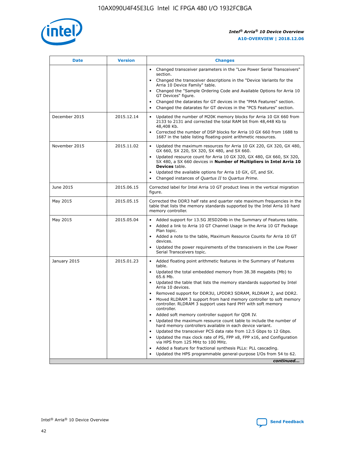

| <b>Date</b>   | <b>Version</b> | <b>Changes</b>                                                                                                                                                               |
|---------------|----------------|------------------------------------------------------------------------------------------------------------------------------------------------------------------------------|
|               |                | • Changed transceiver parameters in the "Low Power Serial Transceivers"<br>section.                                                                                          |
|               |                | • Changed the transceiver descriptions in the "Device Variants for the<br>Arria 10 Device Family" table.                                                                     |
|               |                | Changed the "Sample Ordering Code and Available Options for Arria 10<br>$\bullet$<br>GT Devices" figure.                                                                     |
|               |                | Changed the datarates for GT devices in the "PMA Features" section.                                                                                                          |
|               |                | Changed the datarates for GT devices in the "PCS Features" section.<br>$\bullet$                                                                                             |
| December 2015 | 2015.12.14     | Updated the number of M20K memory blocks for Arria 10 GX 660 from<br>2133 to 2131 and corrected the total RAM bit from 48,448 Kb to<br>48,408 Kb.                            |
|               |                | Corrected the number of DSP blocks for Arria 10 GX 660 from 1688 to<br>1687 in the table listing floating-point arithmetic resources.                                        |
| November 2015 | 2015.11.02     | Updated the maximum resources for Arria 10 GX 220, GX 320, GX 480,<br>$\bullet$<br>GX 660, SX 220, SX 320, SX 480, and SX 660.                                               |
|               |                | • Updated resource count for Arria 10 GX 320, GX 480, GX 660, SX 320,<br>SX 480, a SX 660 devices in Number of Multipliers in Intel Arria 10<br><b>Devices</b> table.        |
|               |                | Updated the available options for Arria 10 GX, GT, and SX.                                                                                                                   |
|               |                | Changed instances of Quartus II to Quartus Prime.<br>$\bullet$                                                                                                               |
| June 2015     | 2015.06.15     | Corrected label for Intel Arria 10 GT product lines in the vertical migration<br>figure.                                                                                     |
| May 2015      | 2015.05.15     | Corrected the DDR3 half rate and quarter rate maximum frequencies in the<br>table that lists the memory standards supported by the Intel Arria 10 hard<br>memory controller. |
| May 2015      | 2015.05.04     | • Added support for 13.5G JESD204b in the Summary of Features table.<br>• Added a link to Arria 10 GT Channel Usage in the Arria 10 GT Package<br>Plan topic.                |
|               |                | • Added a note to the table, Maximum Resource Counts for Arria 10 GT<br>devices.                                                                                             |
|               |                | • Updated the power requirements of the transceivers in the Low Power<br>Serial Transceivers topic.                                                                          |
| January 2015  | 2015.01.23     | • Added floating point arithmetic features in the Summary of Features<br>table.                                                                                              |
|               |                | • Updated the total embedded memory from 38.38 megabits (Mb) to<br>65.6 Mb.                                                                                                  |
|               |                | • Updated the table that lists the memory standards supported by Intel<br>Arria 10 devices.                                                                                  |
|               |                | Removed support for DDR3U, LPDDR3 SDRAM, RLDRAM 2, and DDR2.                                                                                                                 |
|               |                | Moved RLDRAM 3 support from hard memory controller to soft memory<br>controller. RLDRAM 3 support uses hard PHY with soft memory<br>controller.                              |
|               |                | Added soft memory controller support for QDR IV.<br>٠                                                                                                                        |
|               |                | Updated the maximum resource count table to include the number of<br>hard memory controllers available in each device variant.                                               |
|               |                | Updated the transceiver PCS data rate from 12.5 Gbps to 12 Gbps.<br>$\bullet$                                                                                                |
|               |                | Updated the max clock rate of PS, FPP x8, FPP x16, and Configuration<br>via HPS from 125 MHz to 100 MHz.                                                                     |
|               |                | Added a feature for fractional synthesis PLLs: PLL cascading.                                                                                                                |
|               |                | Updated the HPS programmable general-purpose I/Os from 54 to 62.<br>$\bullet$<br>continued                                                                                   |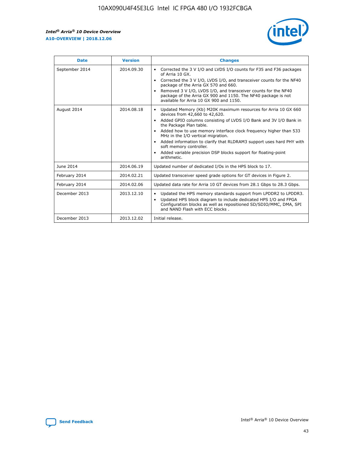

| <b>Date</b>    | <b>Version</b> | <b>Changes</b>                                                                                                                                                                                                                                                                                                                                                                                                                                                                                                                                      |
|----------------|----------------|-----------------------------------------------------------------------------------------------------------------------------------------------------------------------------------------------------------------------------------------------------------------------------------------------------------------------------------------------------------------------------------------------------------------------------------------------------------------------------------------------------------------------------------------------------|
| September 2014 | 2014.09.30     | Corrected the 3 V I/O and LVDS I/O counts for F35 and F36 packages<br>$\bullet$<br>of Arria 10 GX.<br>Corrected the 3 V I/O, LVDS I/O, and transceiver counts for the NF40<br>$\bullet$<br>package of the Arria GX 570 and 660.<br>Removed 3 V I/O, LVDS I/O, and transceiver counts for the NF40<br>$\bullet$<br>package of the Arria GX 900 and 1150. The NF40 package is not<br>available for Arria 10 GX 900 and 1150.                                                                                                                          |
| August 2014    | 2014.08.18     | Updated Memory (Kb) M20K maximum resources for Arria 10 GX 660<br>devices from 42,660 to 42,620.<br>Added GPIO columns consisting of LVDS I/O Bank and 3V I/O Bank in<br>$\bullet$<br>the Package Plan table.<br>Added how to use memory interface clock frequency higher than 533<br>$\bullet$<br>MHz in the I/O vertical migration.<br>Added information to clarify that RLDRAM3 support uses hard PHY with<br>$\bullet$<br>soft memory controller.<br>Added variable precision DSP blocks support for floating-point<br>$\bullet$<br>arithmetic. |
| June 2014      | 2014.06.19     | Updated number of dedicated I/Os in the HPS block to 17.                                                                                                                                                                                                                                                                                                                                                                                                                                                                                            |
| February 2014  | 2014.02.21     | Updated transceiver speed grade options for GT devices in Figure 2.                                                                                                                                                                                                                                                                                                                                                                                                                                                                                 |
| February 2014  | 2014.02.06     | Updated data rate for Arria 10 GT devices from 28.1 Gbps to 28.3 Gbps.                                                                                                                                                                                                                                                                                                                                                                                                                                                                              |
| December 2013  | 2013.12.10     | Updated the HPS memory standards support from LPDDR2 to LPDDR3.<br>Updated HPS block diagram to include dedicated HPS I/O and FPGA<br>$\bullet$<br>Configuration blocks as well as repositioned SD/SDIO/MMC, DMA, SPI<br>and NAND Flash with ECC blocks.                                                                                                                                                                                                                                                                                            |
| December 2013  | 2013.12.02     | Initial release.                                                                                                                                                                                                                                                                                                                                                                                                                                                                                                                                    |